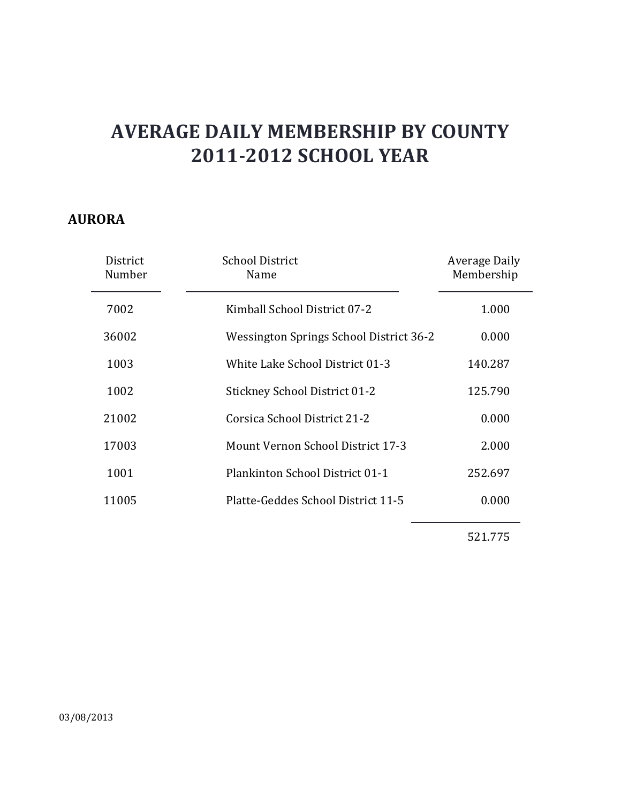#### **AURORA**

| District<br>Number | <b>School District</b><br>Name           | Average Daily<br>Membership |
|--------------------|------------------------------------------|-----------------------------|
| 7002               | Kimball School District 07-2             | 1.000                       |
| 36002              | Wessington Springs School District 36-2  | 0.000                       |
| 1003               | White Lake School District 01-3          | 140.287                     |
| 1002               | <b>Stickney School District 01-2</b>     | 125.790                     |
| 21002              | Corsica School District 21-2             | 0.000                       |
| 17003              | <b>Mount Vernon School District 17-3</b> | 2.000                       |
| 1001               | Plankinton School District 01-1          | 252.697                     |
| 11005              | Platte-Geddes School District 11-5       | 0.000                       |
|                    |                                          |                             |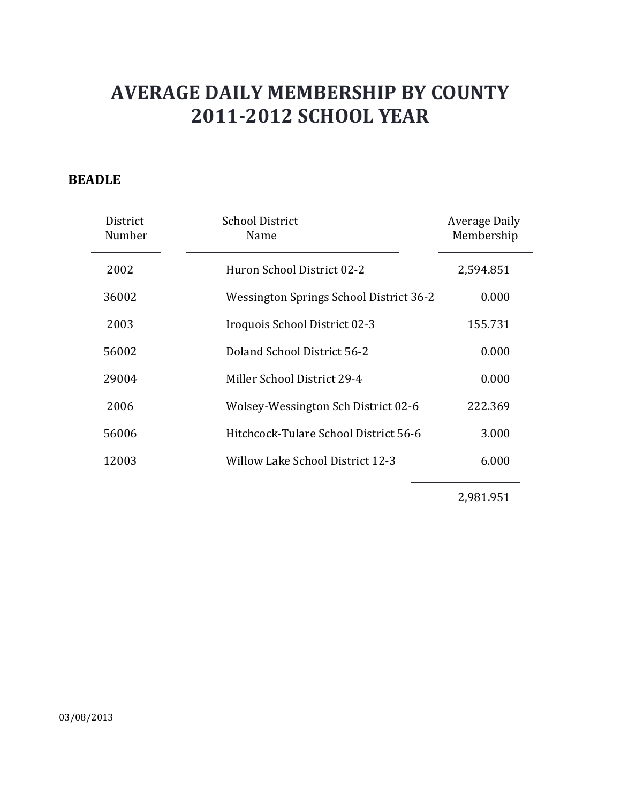### **BEADLE**

| District<br>Number | <b>School District</b><br>Name          | Average Daily<br>Membership |
|--------------------|-----------------------------------------|-----------------------------|
| 2002               | Huron School District 02-2              | 2,594.851                   |
| 36002              | Wessington Springs School District 36-2 | 0.000                       |
| 2003               | Iroquois School District 02-3           | 155.731                     |
| 56002              | Doland School District 56-2             | 0.000                       |
| 29004              | Miller School District 29-4             | 0.000                       |
| 2006               | Wolsey-Wessington Sch District 02-6     | 222.369                     |
| 56006              | Hitchcock-Tulare School District 56-6   | 3.000                       |
| 12003              | Willow Lake School District 12-3        | 6.000                       |

2,981.951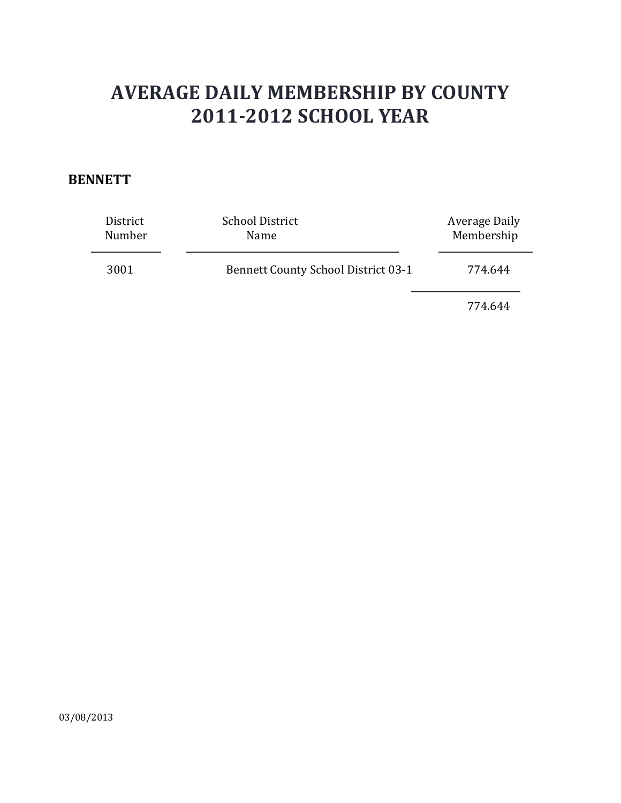#### **BENNETT**

| District<br>Number | <b>School District</b><br>Name             | Average Daily<br>Membership |
|--------------------|--------------------------------------------|-----------------------------|
| 3001               | <b>Bennett County School District 03-1</b> | 774.644                     |
|                    |                                            | 774.644                     |

03/08/2013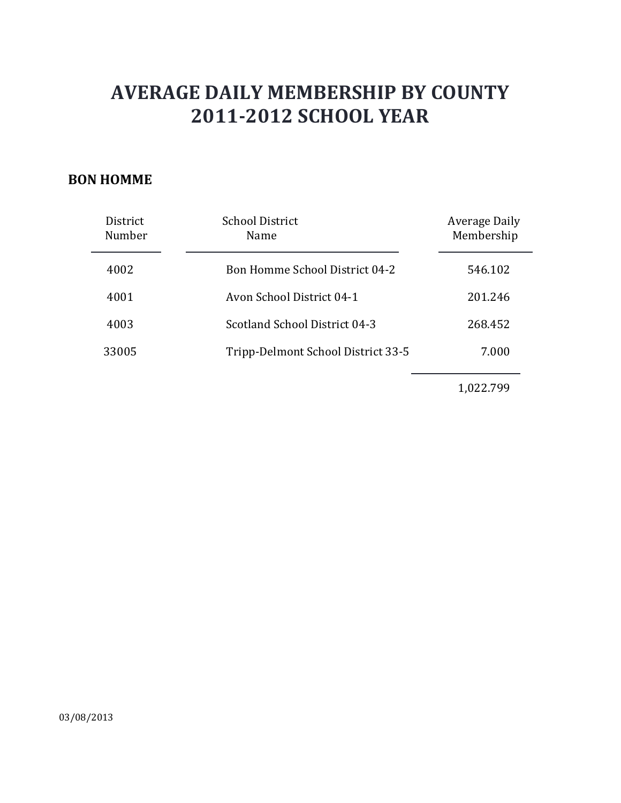#### **BON HOMME**

| District<br>Number | <b>School District</b><br>Name        | Average Daily<br>Membership |
|--------------------|---------------------------------------|-----------------------------|
| 4002               | <b>Bon Homme School District 04-2</b> | 546.102                     |
| 4001               | Avon School District 04-1             | 201.246                     |
| 4003               | Scotland School District 04-3         | 268.452                     |
| 33005              | Tripp-Delmont School District 33-5    | 7.000                       |
|                    |                                       |                             |

1,022.799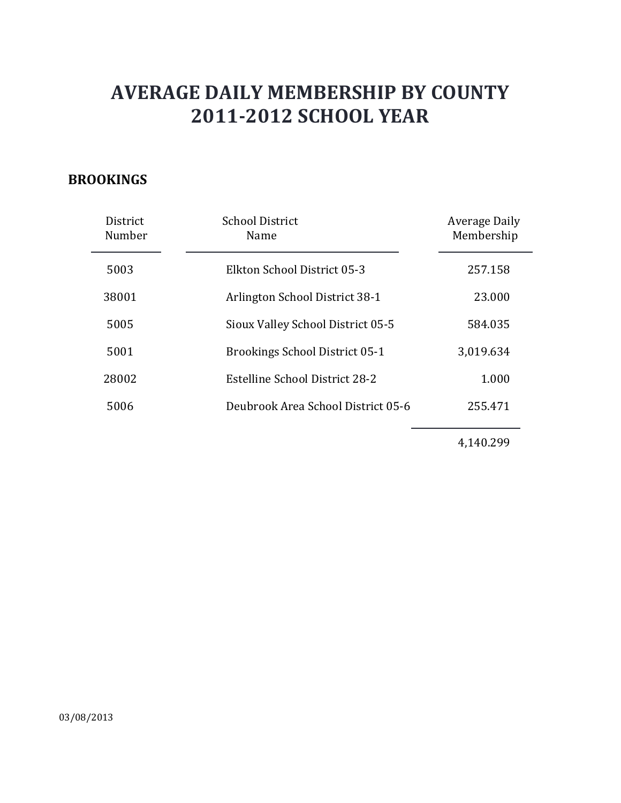### **BROOKINGS**

| District<br>Number | <b>School District</b><br>Name     | Average Daily<br>Membership |
|--------------------|------------------------------------|-----------------------------|
| 5003               | Elkton School District 05-3        | 257.158                     |
| 38001              | Arlington School District 38-1     | 23,000                      |
| 5005               | Sioux Valley School District 05-5  | 584.035                     |
| 5001               | Brookings School District 05-1     | 3,019.634                   |
| 28002              | Estelline School District 28-2     | 1.000                       |
| 5006               | Deubrook Area School District 05-6 | 255.471                     |
|                    |                                    |                             |

4,140.299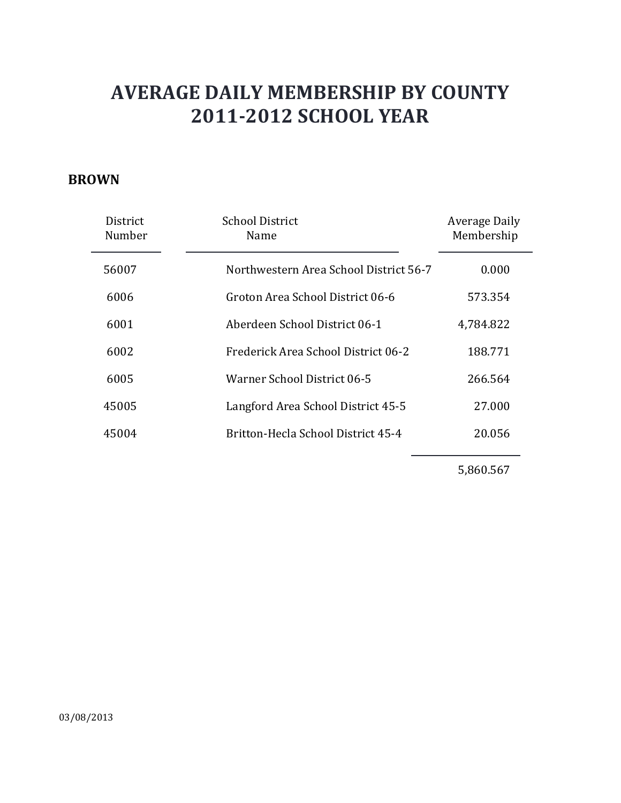#### **BROWN**

| District<br>Number | <b>School District</b><br>Name         | Average Daily<br>Membership |
|--------------------|----------------------------------------|-----------------------------|
| 56007              | Northwestern Area School District 56-7 | 0.000                       |
| 6006               | Groton Area School District 06-6       | 573.354                     |
| 6001               | Aberdeen School District 06-1          | 4,784.822                   |
| 6002               | Frederick Area School District 06-2    | 188.771                     |
| 6005               | Warner School District 06-5            | 266.564                     |
| 45005              | Langford Area School District 45-5     | 27.000                      |
| 45004              | Britton-Hecla School District 45-4     | 20.056                      |

5,860.567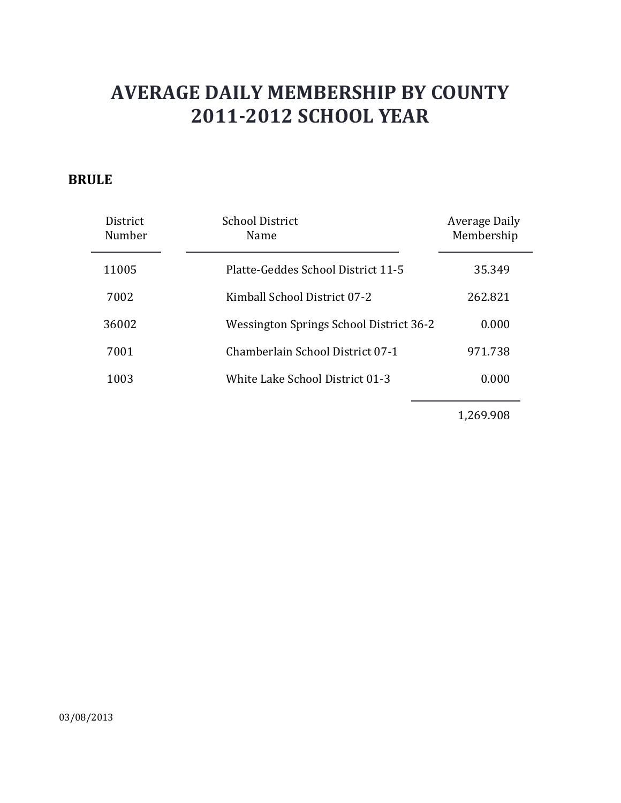### **BRULE**

| <b>District</b><br>Number | School District<br>Name                 | Average Daily<br>Membership |
|---------------------------|-----------------------------------------|-----------------------------|
| 11005                     | Platte-Geddes School District 11-5      | 35.349                      |
| 7002                      | Kimball School District 07-2            | 262.821                     |
| 36002                     | Wessington Springs School District 36-2 | 0.000                       |
| 7001                      | Chamberlain School District 07-1        | 971.738                     |
| 1003                      | White Lake School District 01-3         | 0.000                       |

1,269.908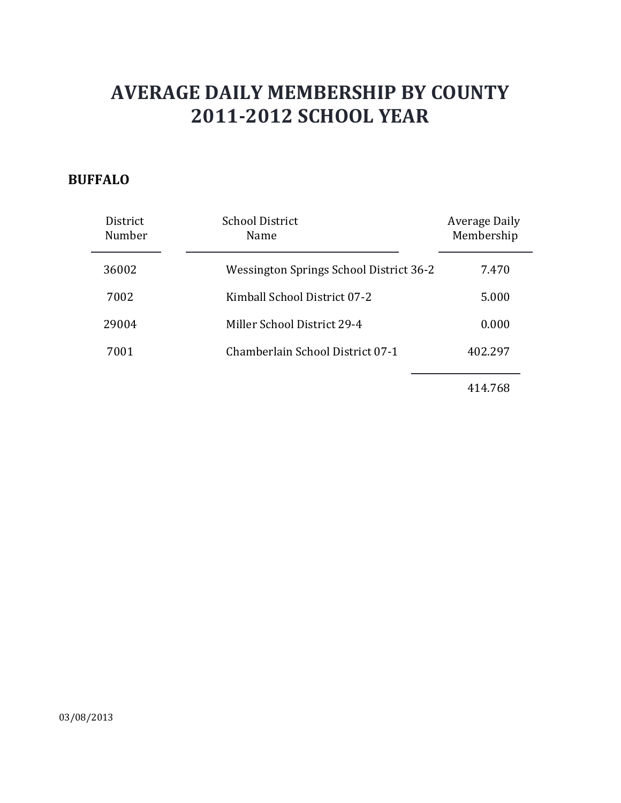### **BUFFALO**

| District<br>Number | <b>School District</b><br>Name          | Average Daily<br>Membership |
|--------------------|-----------------------------------------|-----------------------------|
| 36002              | Wessington Springs School District 36-2 | 7.470                       |
| 7002               | Kimball School District 07-2            | 5.000                       |
| 29004              | Miller School District 29-4             | 0.000                       |
| 7001               | Chamberlain School District 07-1        | 402.297                     |
|                    |                                         |                             |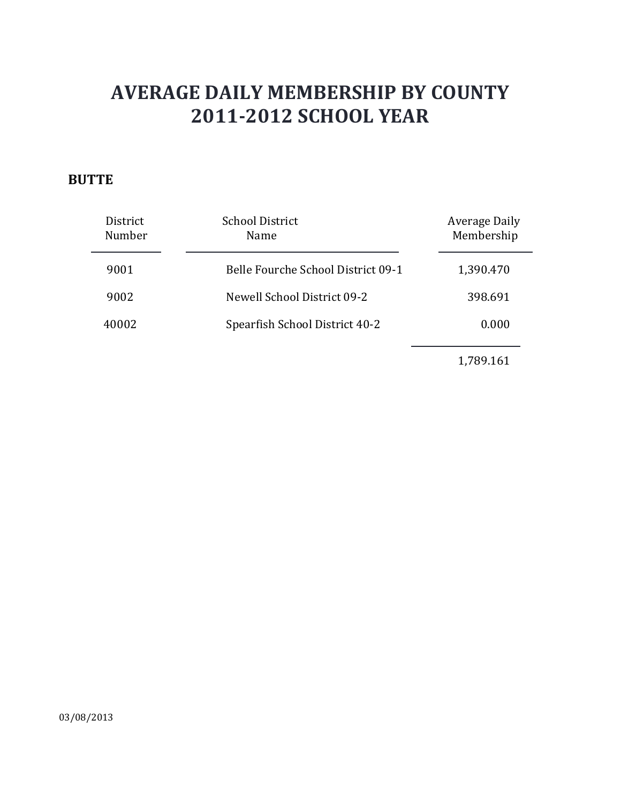### **BUTTE**

| District<br>Number | <b>School District</b><br>Name     | <b>Average Daily</b><br>Membership |
|--------------------|------------------------------------|------------------------------------|
| 9001               | Belle Fourche School District 09-1 | 1,390.470                          |
| 9002               | Newell School District 09-2        | 398.691                            |
| 40002              | Spearfish School District 40-2     | 0.000                              |
|                    |                                    |                                    |

1,789.161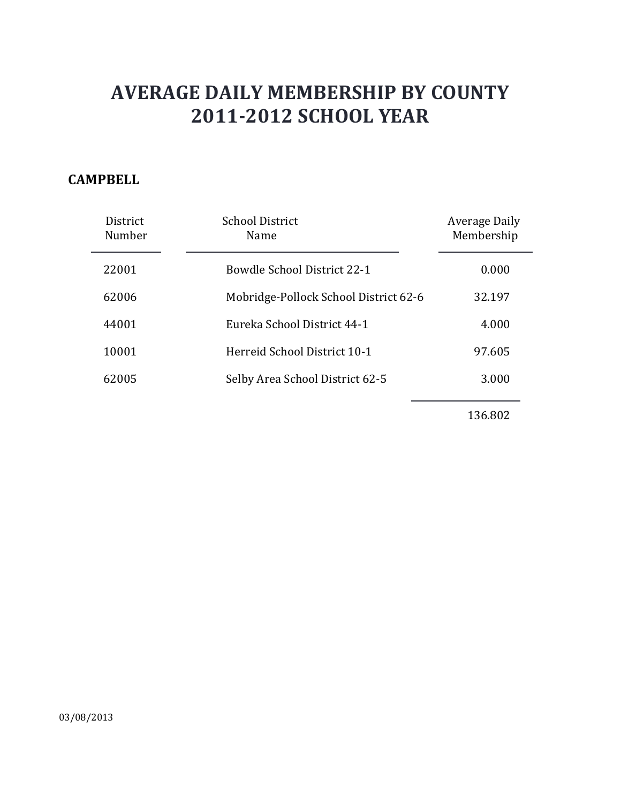### **CAMPBELL**

| <b>District</b><br>Number | School District<br>Name               | <b>Average Daily</b><br>Membership |
|---------------------------|---------------------------------------|------------------------------------|
| 22001                     | <b>Bowdle School District 22-1</b>    | 0.000                              |
| 62006                     | Mobridge-Pollock School District 62-6 | 32.197                             |
| 44001                     | Eureka School District 44-1           | 4.000                              |
| 10001                     | Herreid School District 10-1          | 97.605                             |
| 62005                     | Selby Area School District 62-5       | 3.000                              |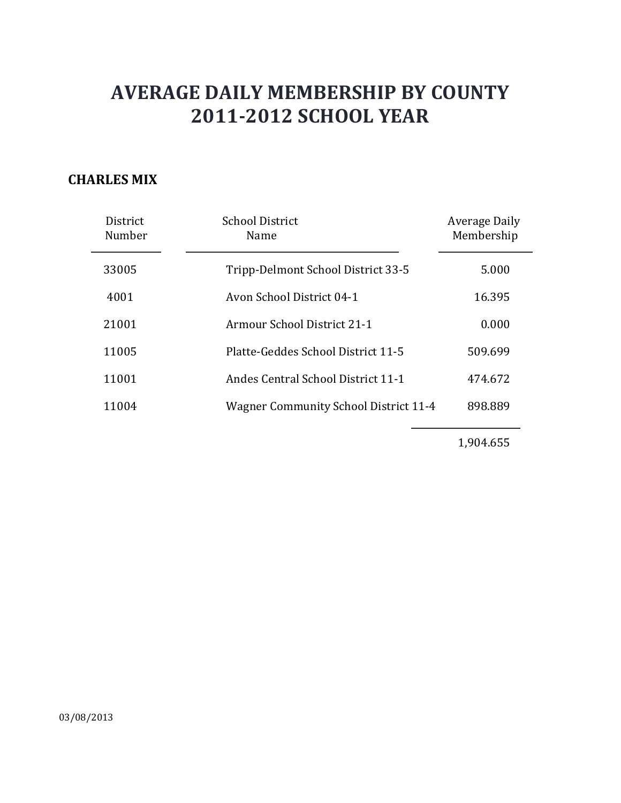### **CHARLES MIX**

| District<br>Number | <b>School District</b><br>Name               | Average Daily<br>Membership |
|--------------------|----------------------------------------------|-----------------------------|
| 33005              | Tripp-Delmont School District 33-5           | 5.000                       |
| 4001               | Avon School District 04-1                    | 16.395                      |
| 21001              | Armour School District 21-1                  | 0.000                       |
| 11005              | Platte-Geddes School District 11-5           | 509.699                     |
| 11001              | <b>Andes Central School District 11-1</b>    | 474.672                     |
| 11004              | <b>Wagner Community School District 11-4</b> | 898.889                     |

1,904.655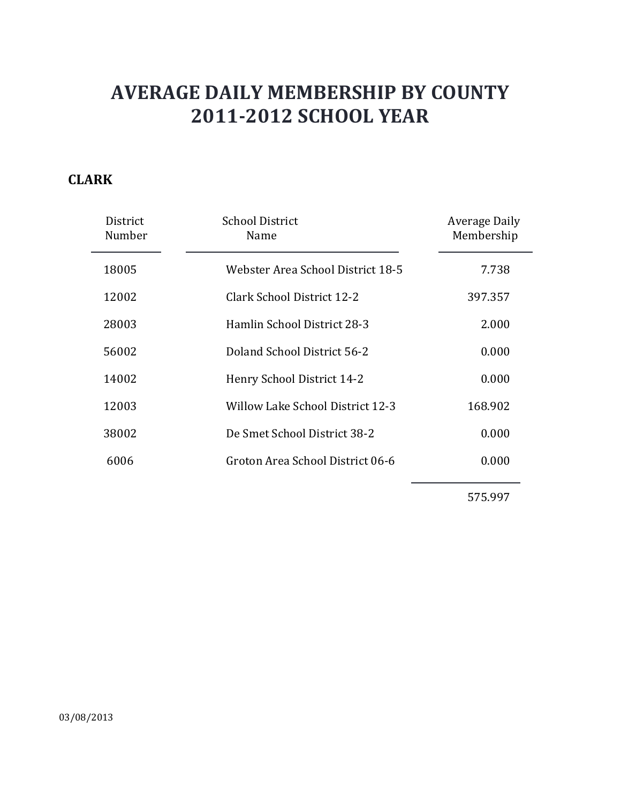### **CLARK**

| District<br>Number | <b>School District</b><br>Name    | Average Daily<br>Membership |
|--------------------|-----------------------------------|-----------------------------|
| 18005              | Webster Area School District 18-5 | 7.738                       |
| 12002              | Clark School District 12-2        | 397.357                     |
| 28003              | Hamlin School District 28-3       | 2.000                       |
| 56002              | Doland School District 56-2       | 0.000                       |
| 14002              | Henry School District 14-2        | 0.000                       |
| 12003              | Willow Lake School District 12-3  | 168.902                     |
| 38002              | De Smet School District 38-2      | 0.000                       |
| 6006               | Groton Area School District 06-6  | 0.000                       |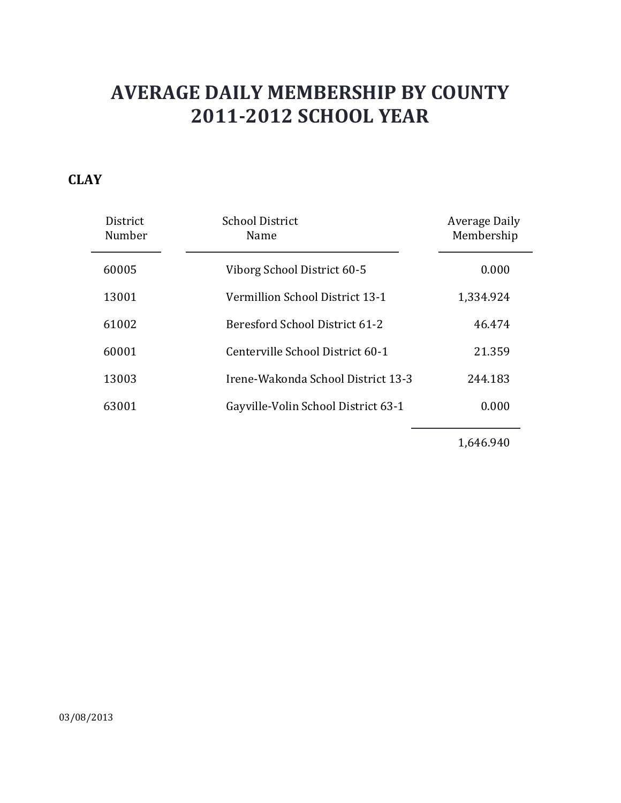### **CLAY**

| District<br>Number | School District<br>Name             | Average Daily<br>Membership |
|--------------------|-------------------------------------|-----------------------------|
| 60005              | Viborg School District 60-5         | 0.000                       |
| 13001              | Vermillion School District 13-1     | 1,334.924                   |
| 61002              | Beresford School District 61-2      | 46.474                      |
| 60001              | Centerville School District 60-1    | 21.359                      |
| 13003              | Irene-Wakonda School District 13-3  | 244.183                     |
| 63001              | Gayville-Volin School District 63-1 | 0.000                       |

1,646.940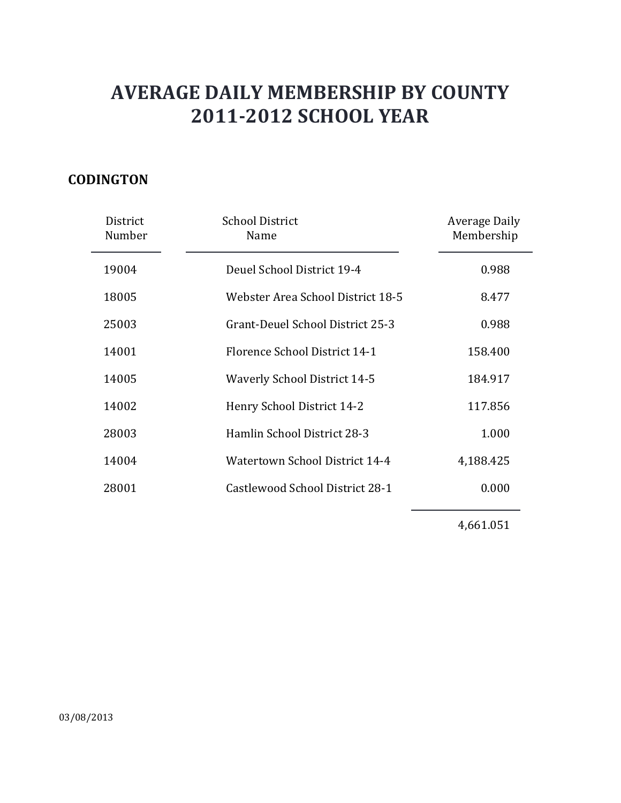### **CODINGTON**

| District<br>Number | <b>School District</b><br>Name      | Average Daily<br>Membership |
|--------------------|-------------------------------------|-----------------------------|
| 19004              | Deuel School District 19-4          | 0.988                       |
| 18005              | Webster Area School District 18-5   | 8.477                       |
| 25003              | Grant-Deuel School District 25-3    | 0.988                       |
| 14001              | Florence School District 14-1       | 158.400                     |
| 14005              | <b>Waverly School District 14-5</b> | 184.917                     |
| 14002              | Henry School District 14-2          | 117.856                     |
| 28003              | Hamlin School District 28-3         | 1.000                       |
| 14004              | Watertown School District 14-4      | 4,188.425                   |
| 28001              | Castlewood School District 28-1     | 0.000                       |
|                    |                                     |                             |

4,661.051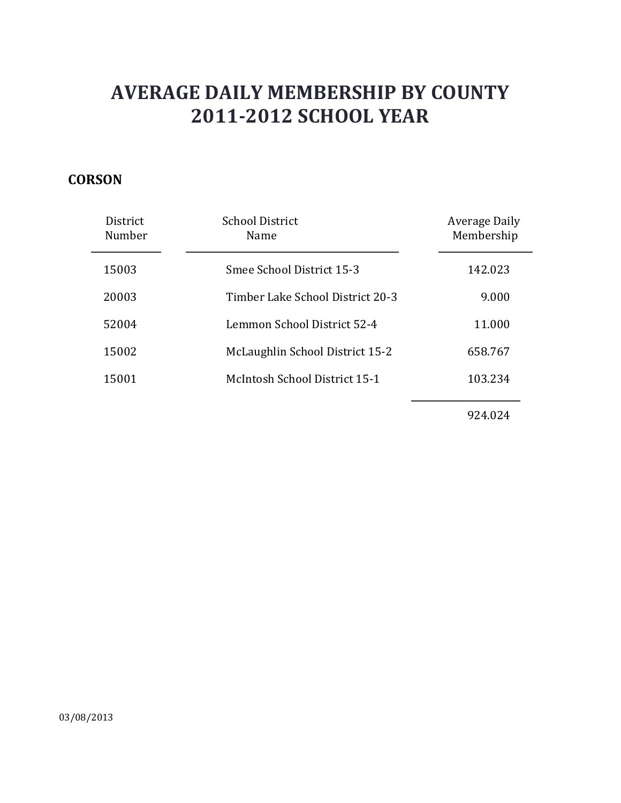### **CORSON**

| District<br>Number | <b>School District</b><br>Name   | Average Daily<br>Membership |
|--------------------|----------------------------------|-----------------------------|
| 15003              | Smee School District 15-3        | 142.023                     |
| 20003              | Timber Lake School District 20-3 | 9.000                       |
| 52004              | Lemmon School District 52-4      | 11.000                      |
| 15002              | McLaughlin School District 15-2  | 658.767                     |
| 15001              | McIntosh School District 15-1    | 103.234                     |
|                    |                                  |                             |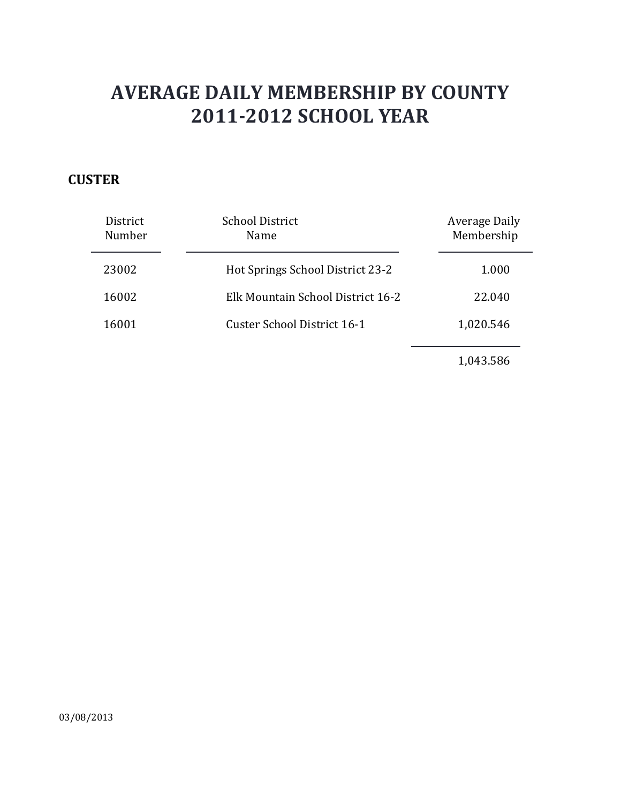### **CUSTER**

| District<br>Number | <b>School District</b><br>Name    | Average Daily<br>Membership |
|--------------------|-----------------------------------|-----------------------------|
| 23002              | Hot Springs School District 23-2  | 1.000                       |
| 16002              | Elk Mountain School District 16-2 | 22.040                      |
| 16001              | Custer School District 16-1       | 1,020.546                   |
|                    |                                   | 1,043.586                   |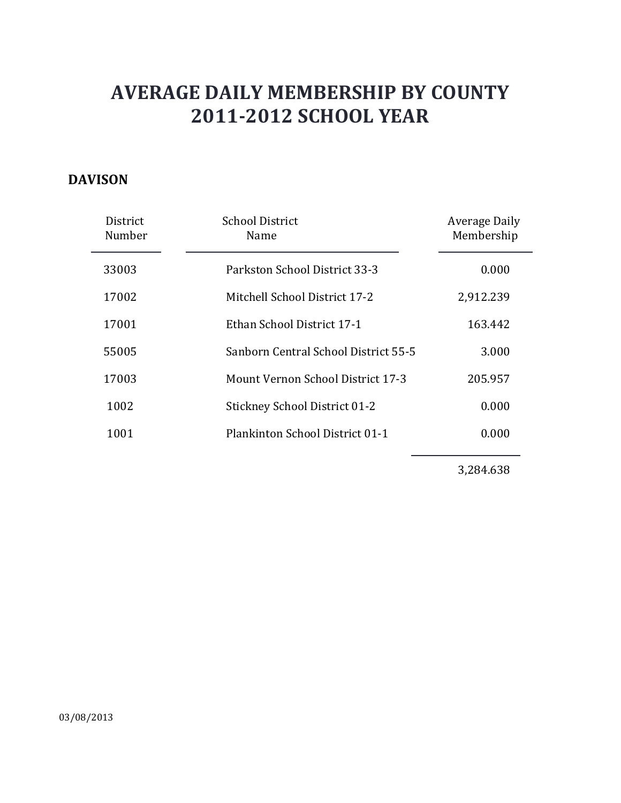### **DAVISON**

| District<br>Number | <b>School District</b><br>Name       | Average Daily<br>Membership |
|--------------------|--------------------------------------|-----------------------------|
| 33003              | Parkston School District 33-3        | 0.000                       |
| 17002              | Mitchell School District 17-2        | 2,912.239                   |
| 17001              | Ethan School District 17-1           | 163.442                     |
| 55005              | Sanborn Central School District 55-5 | 3.000                       |
| 17003              | Mount Vernon School District 17-3    | 205.957                     |
| 1002               | <b>Stickney School District 01-2</b> | 0.000                       |
| 1001               | Plankinton School District 01-1      | 0.000                       |

3,284.638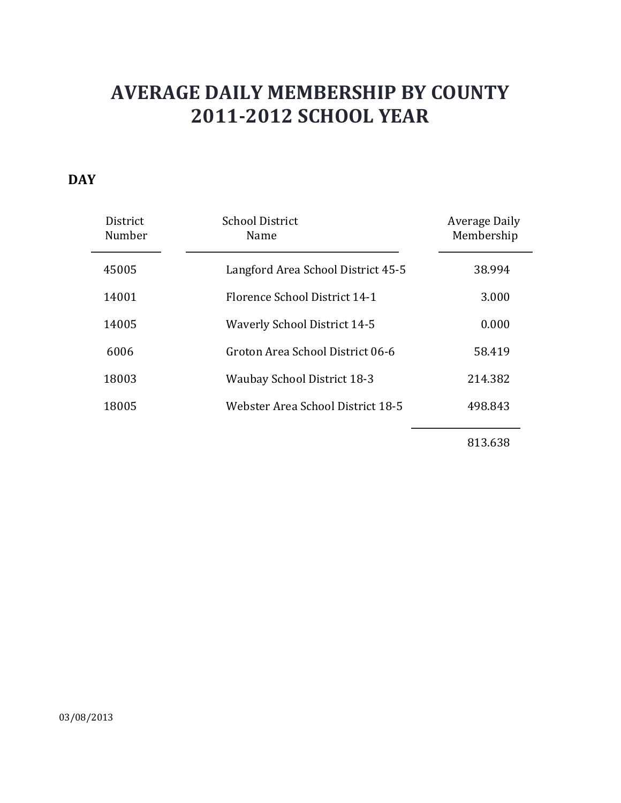### **DAY**

| District<br>Number | <b>School District</b><br>Name      | Average Daily<br>Membership |
|--------------------|-------------------------------------|-----------------------------|
| 45005              | Langford Area School District 45-5  | 38.994                      |
| 14001              | Florence School District 14-1       | 3.000                       |
| 14005              | <b>Waverly School District 14-5</b> | 0.000                       |
| 6006               | Groton Area School District 06-6    | 58.419                      |
| 18003              | <b>Waubay School District 18-3</b>  | 214.382                     |
| 18005              | Webster Area School District 18-5   | 498.843                     |
|                    |                                     |                             |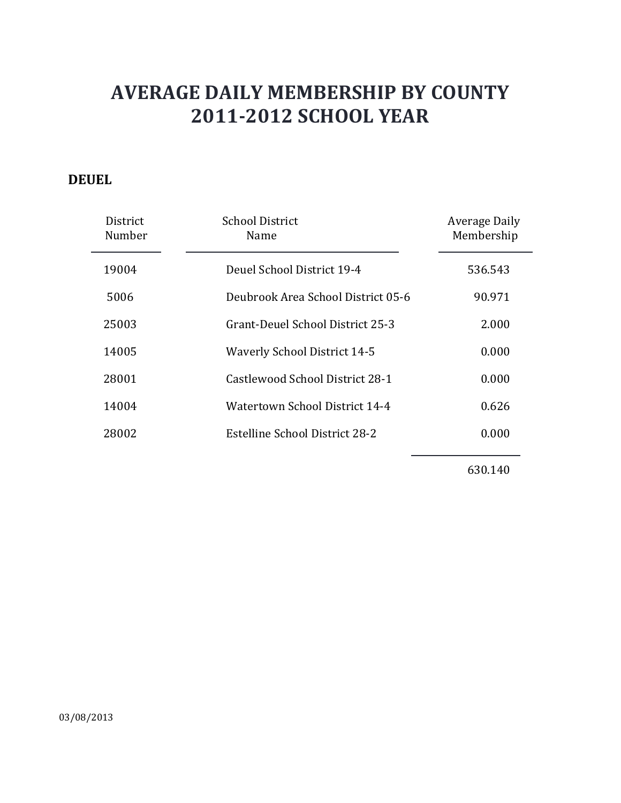### **DEUEL**

| District<br>Number | <b>School District</b><br>Name        | Average Daily<br>Membership |
|--------------------|---------------------------------------|-----------------------------|
| 19004              | Deuel School District 19-4            | 536.543                     |
| 5006               | Deubrook Area School District 05-6    | 90.971                      |
| 25003              | Grant-Deuel School District 25-3      | 2.000                       |
| 14005              | <b>Waverly School District 14-5</b>   | 0.000                       |
| 28001              | Castlewood School District 28-1       | 0.000                       |
| 14004              | Watertown School District 14-4        | 0.626                       |
| 28002              | <b>Estelline School District 28-2</b> | 0.000                       |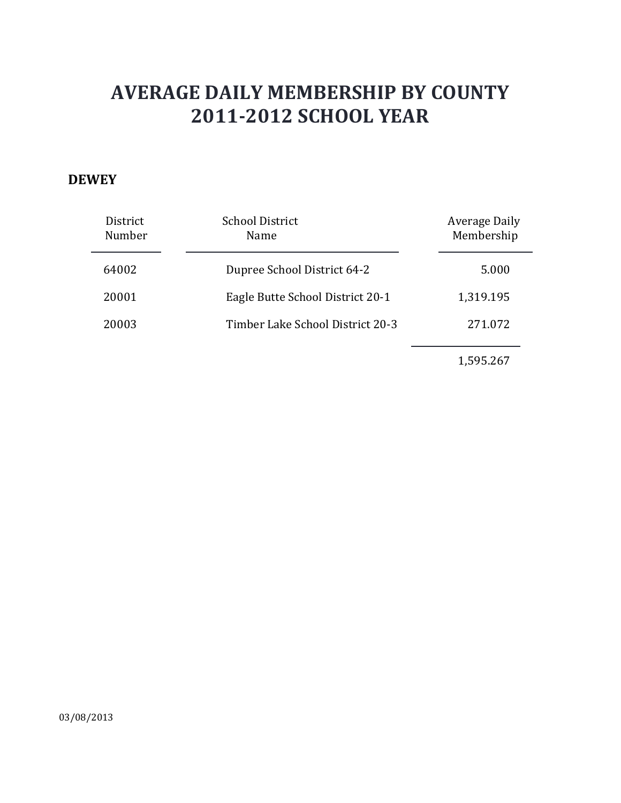#### **DEWEY**

| District<br>Number | <b>School District</b><br>Name   | Average Daily<br>Membership |
|--------------------|----------------------------------|-----------------------------|
| 64002              | Dupree School District 64-2      | 5.000                       |
| 20001              | Eagle Butte School District 20-1 | 1,319.195                   |
| 20003              | Timber Lake School District 20-3 | 271.072                     |
|                    |                                  | 1,595.267                   |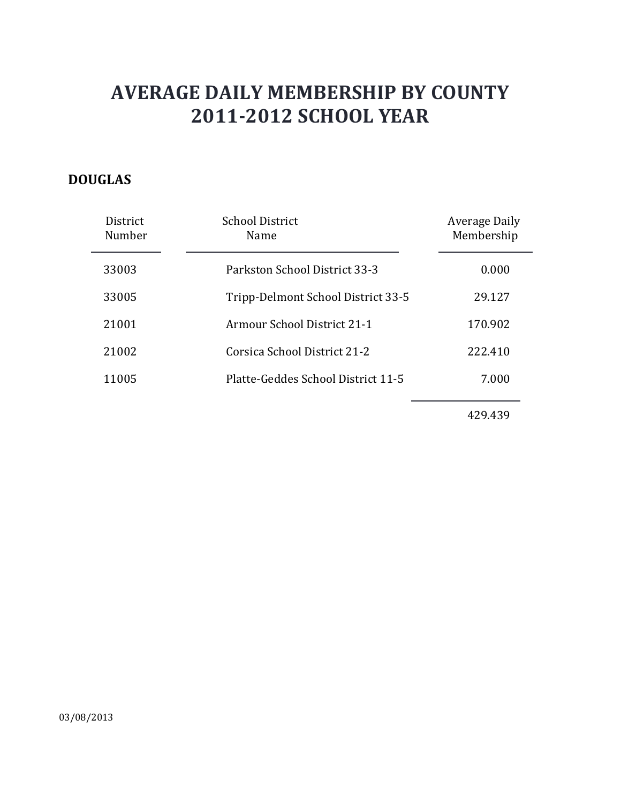### **DOUGLAS**

| District<br>Number | <b>School District</b><br>Name     | <b>Average Daily</b><br>Membership |
|--------------------|------------------------------------|------------------------------------|
| 33003              | Parkston School District 33-3      | 0.000                              |
| 33005              | Tripp-Delmont School District 33-5 | 29.127                             |
| 21001              | Armour School District 21-1        | 170.902                            |
| 21002              | Corsica School District 21-2       | 222.410                            |
| 11005              | Platte-Geddes School District 11-5 | 7.000                              |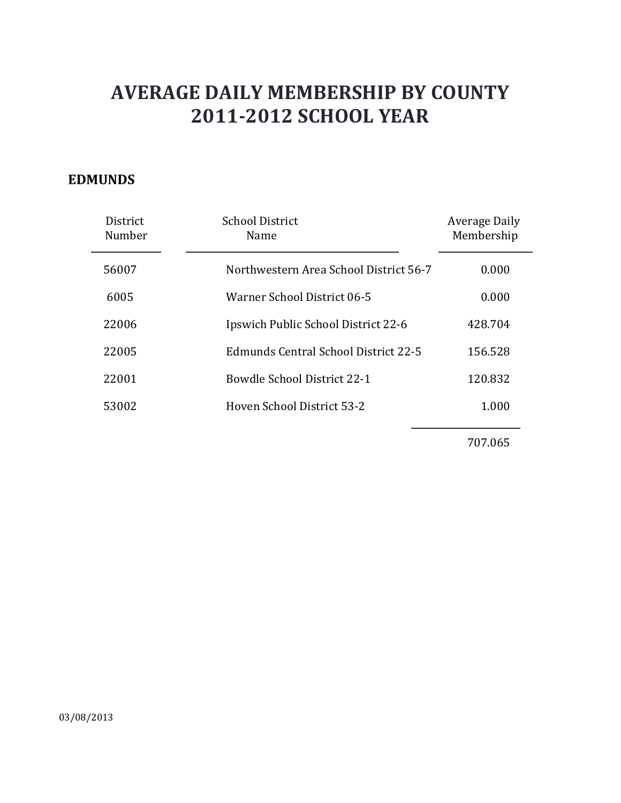#### **EDMUNDS**

| District<br>Number | <b>School District</b><br>Name         | Average Daily<br>Membership |
|--------------------|----------------------------------------|-----------------------------|
| 56007              | Northwestern Area School District 56-7 | 0.000                       |
| 6005               | Warner School District 06-5            | 0.000                       |
| 22006              | Ipswich Public School District 22-6    | 428.704                     |
| 22005              | Edmunds Central School District 22-5   | 156.528                     |
| 22001              | <b>Bowdle School District 22-1</b>     | 120.832                     |
| 53002              | Hoven School District 53-2             | 1.000                       |
|                    |                                        |                             |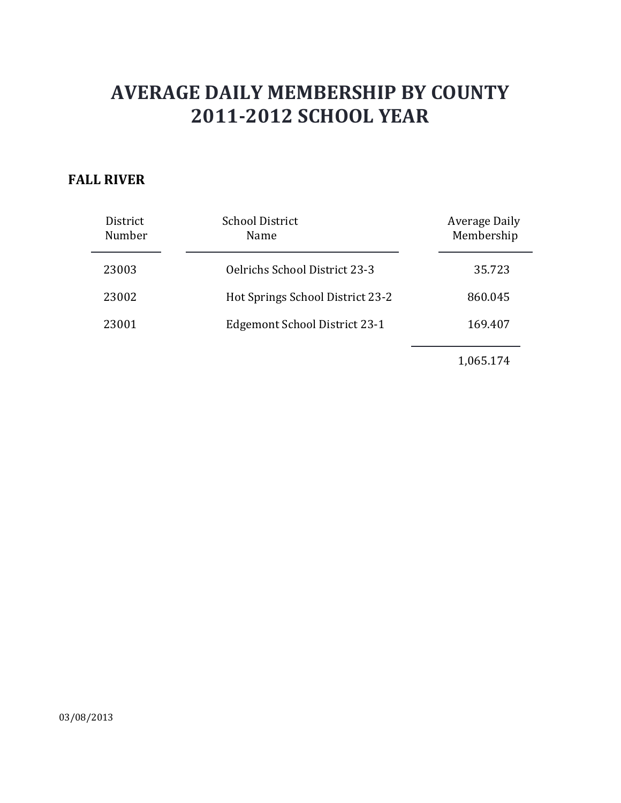#### **FALL RIVER**

| District<br>Number | <b>School District</b><br>Name       | Average Daily<br>Membership |
|--------------------|--------------------------------------|-----------------------------|
| 23003              | <b>Oelrichs School District 23-3</b> | 35.723                      |
| 23002              | Hot Springs School District 23-2     | 860.045                     |
| 23001              | Edgemont School District 23-1        | 169.407                     |
|                    |                                      |                             |

1,065.174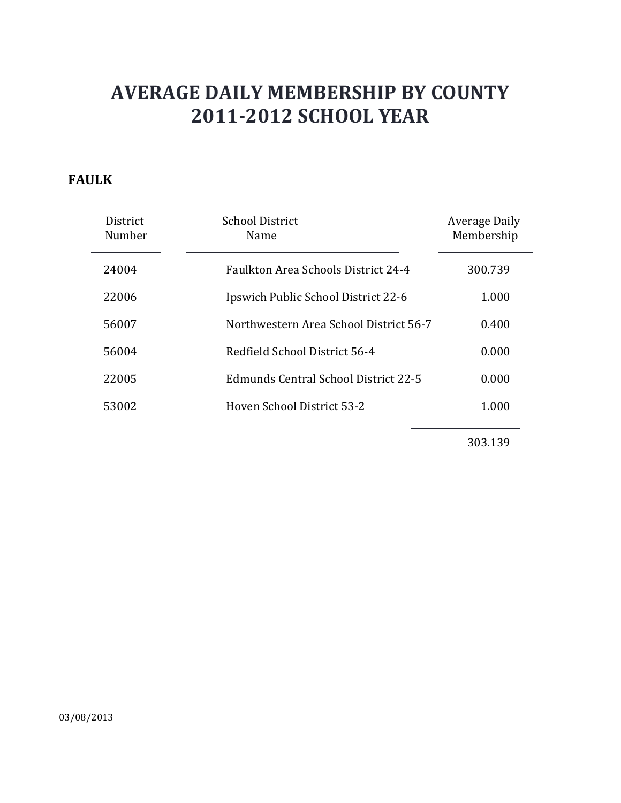### **FAULK**

| District<br>Number | <b>School District</b><br>Name             | Average Daily<br>Membership |
|--------------------|--------------------------------------------|-----------------------------|
| 24004              | <b>Faulkton Area Schools District 24-4</b> | 300.739                     |
| 22006              | Ipswich Public School District 22-6        | 1.000                       |
| 56007              | Northwestern Area School District 56-7     | 0.400                       |
| 56004              | Redfield School District 56-4              | 0.000                       |
| 22005              | Edmunds Central School District 22-5       | 0.000                       |
| 53002              | Hoven School District 53-2                 | 1.000                       |
|                    |                                            |                             |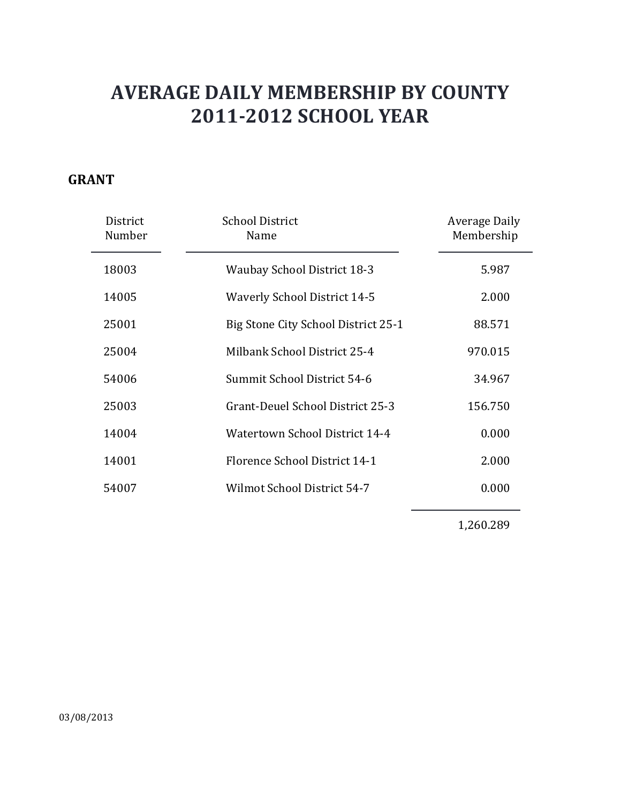### **GRANT**

| District<br>Number | <b>School District</b><br>Name      | Average Daily<br>Membership |
|--------------------|-------------------------------------|-----------------------------|
| 18003              | <b>Waubay School District 18-3</b>  | 5.987                       |
| 14005              | <b>Waverly School District 14-5</b> | 2.000                       |
| 25001              | Big Stone City School District 25-1 | 88.571                      |
| 25004              | Milbank School District 25-4        | 970.015                     |
| 54006              | Summit School District 54-6         | 34.967                      |
| 25003              | Grant-Deuel School District 25-3    | 156.750                     |
| 14004              | Watertown School District 14-4      | 0.000                       |
| 14001              | Florence School District 14-1       | 2.000                       |
| 54007              | Wilmot School District 54-7         | 0.000                       |
|                    |                                     |                             |

1,260.289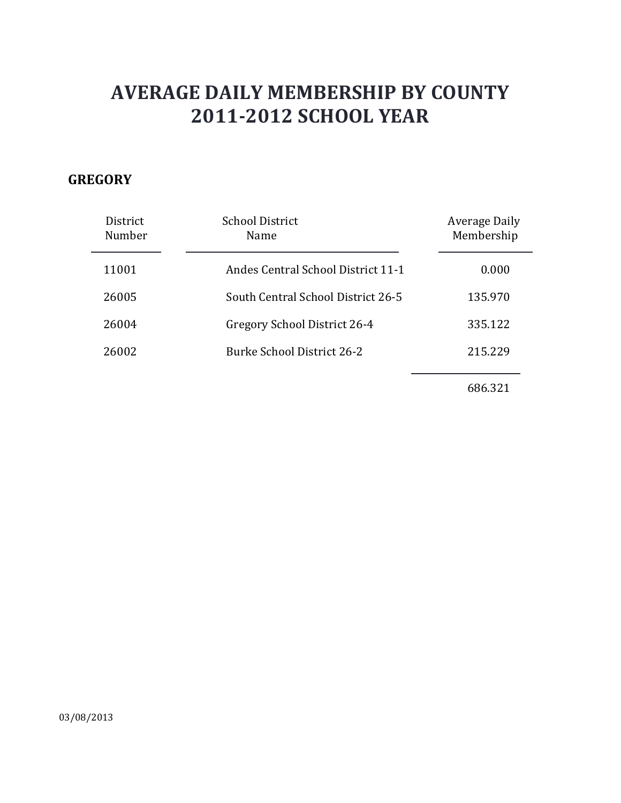### **GREGORY**

| District<br>Number | <b>School District</b><br>Name            | <b>Average Daily</b><br>Membership |
|--------------------|-------------------------------------------|------------------------------------|
| 11001              | <b>Andes Central School District 11-1</b> | 0.000                              |
| 26005              | South Central School District 26-5        | 135.970                            |
| 26004              | Gregory School District 26-4              | 335.122                            |
| 26002              | <b>Burke School District 26-2</b>         | 215.229                            |
|                    |                                           |                                    |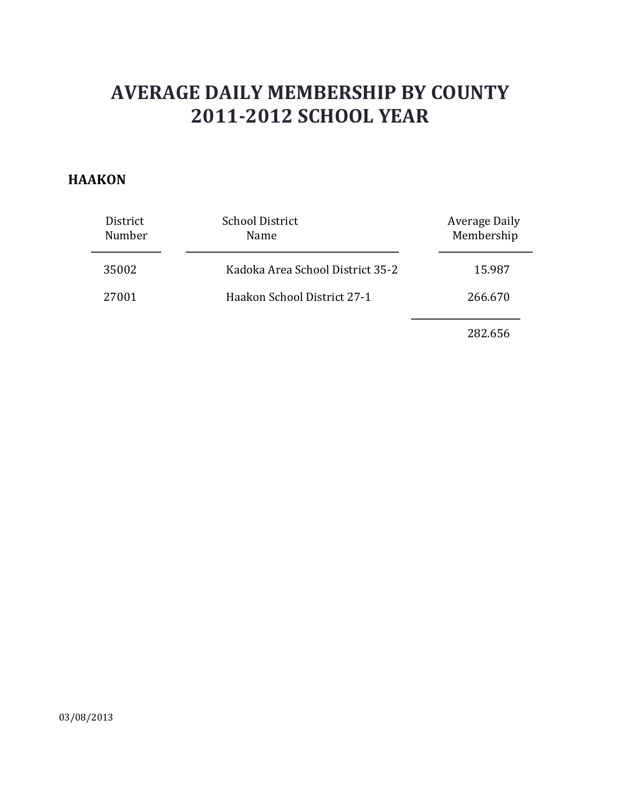#### **HAAKON**

| District<br>Number | <b>School District</b><br>Name   | Average Daily<br>Membership |
|--------------------|----------------------------------|-----------------------------|
| 35002              | Kadoka Area School District 35-2 | 15.987                      |
| 27001              | Haakon School District 27-1      | 266.670                     |
|                    |                                  | 282.656                     |

03/08/2013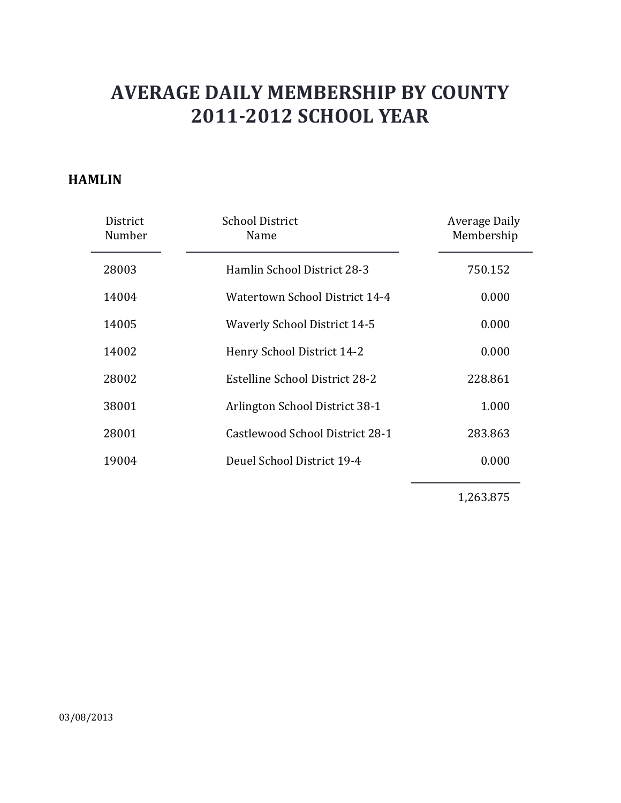#### **HAMLIN**

| District<br>Number | <b>School District</b><br>Name      | Average Daily<br>Membership |
|--------------------|-------------------------------------|-----------------------------|
| 28003              | Hamlin School District 28-3         | 750.152                     |
| 14004              | Watertown School District 14-4      | 0.000                       |
| 14005              | <b>Waverly School District 14-5</b> | 0.000                       |
| 14002              | Henry School District 14-2          | 0.000                       |
| 28002              | Estelline School District 28-2      | 228.861                     |
| 38001              | Arlington School District 38-1      | 1.000                       |
| 28001              | Castlewood School District 28-1     | 283.863                     |
| 19004              | Deuel School District 19-4          | 0.000                       |
|                    |                                     |                             |

1,263.875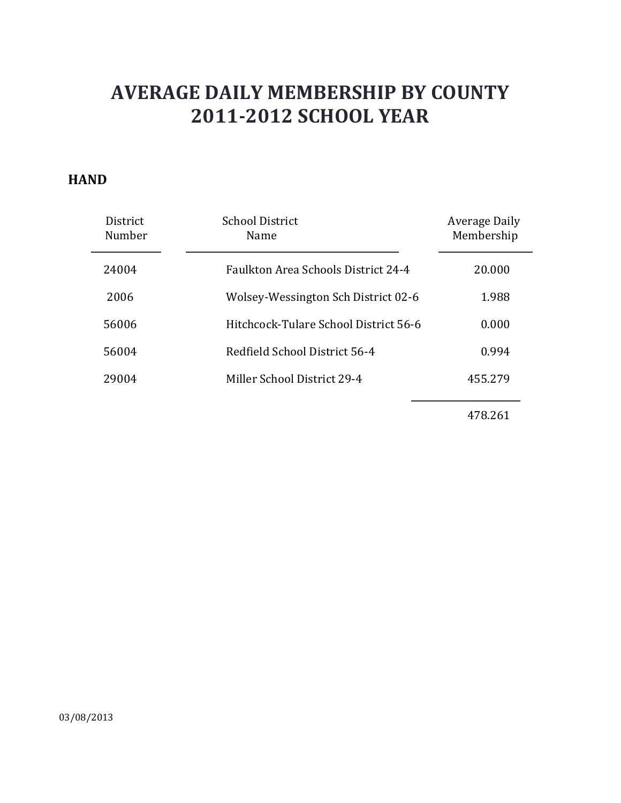#### **HAND**

| <b>District</b><br>Number | <b>School District</b><br>Name             | <b>Average Daily</b><br>Membership |
|---------------------------|--------------------------------------------|------------------------------------|
| 24004                     | <b>Faulkton Area Schools District 24-4</b> | 20,000                             |
| 2006                      | Wolsey-Wessington Sch District 02-6        | 1.988                              |
| 56006                     | Hitchcock-Tulare School District 56-6      | 0.000                              |
| 56004                     | Redfield School District 56-4              | 0.994                              |
| 29004                     | Miller School District 29-4                | 455.279                            |
|                           |                                            |                                    |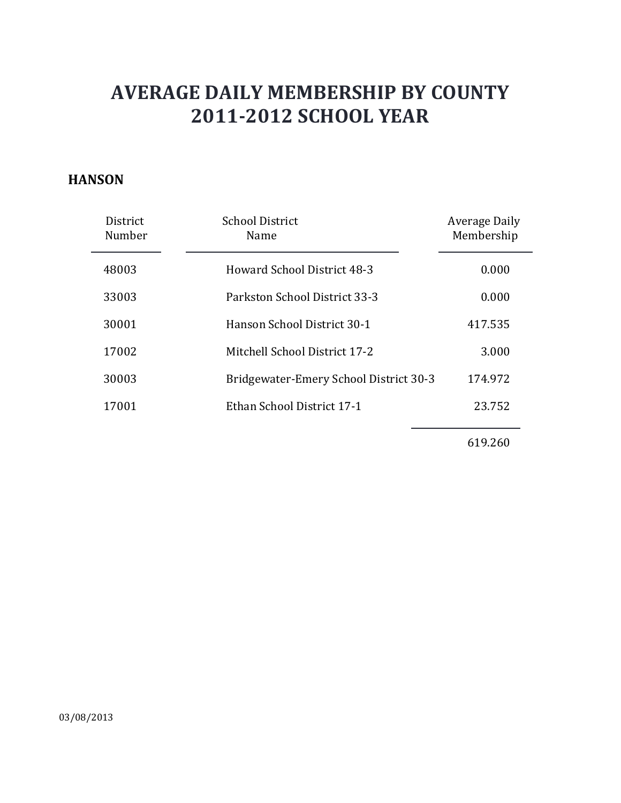#### **HANSON**

| District<br>Number | <b>School District</b><br>Name         | Average Daily<br>Membership |
|--------------------|----------------------------------------|-----------------------------|
| 48003              | <b>Howard School District 48-3</b>     | 0.000                       |
| 33003              | Parkston School District 33-3          | 0.000                       |
| 30001              | Hanson School District 30-1            | 417.535                     |
| 17002              | Mitchell School District 17-2          | 3.000                       |
| 30003              | Bridgewater-Emery School District 30-3 | 174.972                     |
| 17001              | Ethan School District 17-1             | 23.752                      |
|                    |                                        |                             |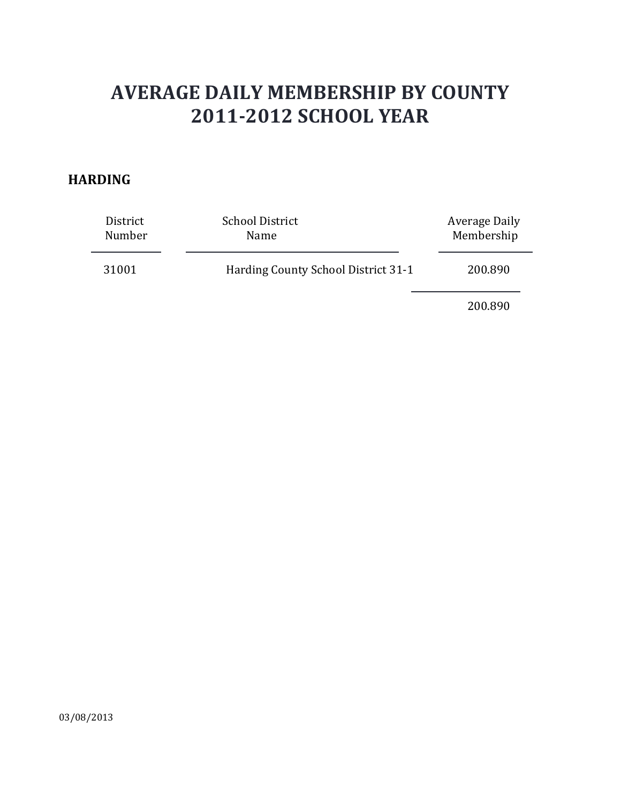#### **HARDING**

| District | <b>School District</b>              | Average Daily |
|----------|-------------------------------------|---------------|
| Number   | Name                                | Membership    |
| 31001    | Harding County School District 31-1 | 200.890       |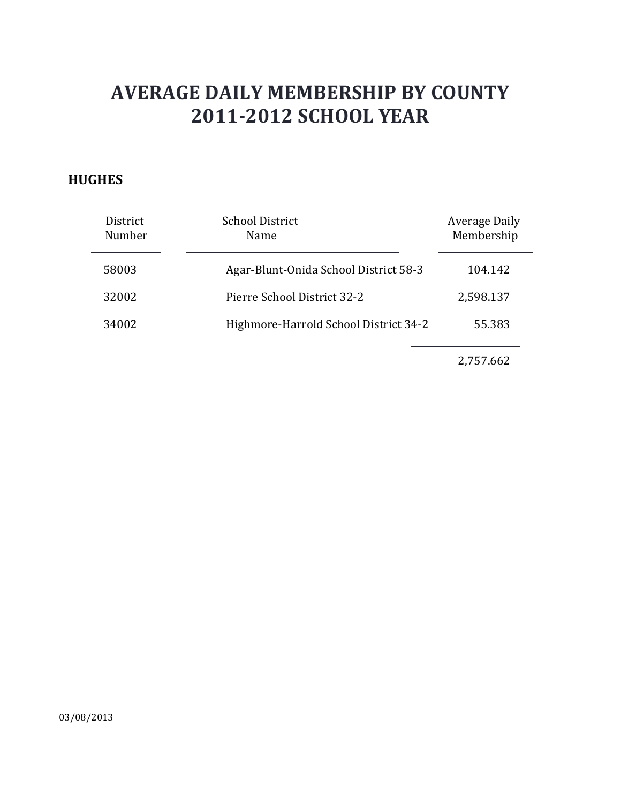### **HUGHES**

| District<br>Number | <b>School District</b><br>Name        | Average Daily<br>Membership |
|--------------------|---------------------------------------|-----------------------------|
| 58003              | Agar-Blunt-Onida School District 58-3 | 104.142                     |
| 32002              | Pierre School District 32-2           | 2,598.137                   |
| 34002              | Highmore-Harrold School District 34-2 | 55.383                      |
|                    |                                       |                             |

2,757.662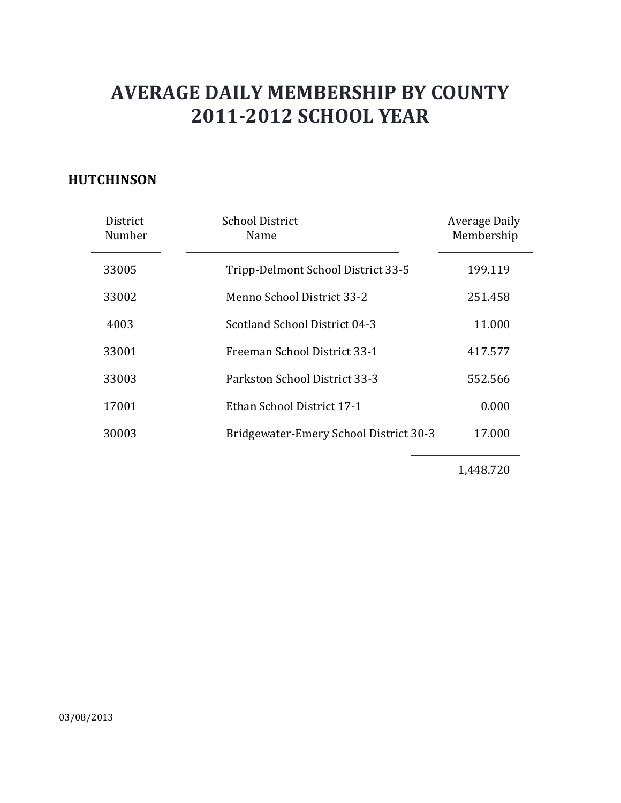### **HUTCHINSON**

| District<br>Number | <b>School District</b><br>Name         | Average Daily<br>Membership |
|--------------------|----------------------------------------|-----------------------------|
| 33005              | Tripp-Delmont School District 33-5     | 199.119                     |
| 33002              | Menno School District 33-2             | 251.458                     |
| 4003               | Scotland School District 04-3          | 11.000                      |
| 33001              | Freeman School District 33-1           | 417.577                     |
| 33003              | Parkston School District 33-3          | 552.566                     |
| 17001              | Ethan School District 17-1             | 0.000                       |
| 30003              | Bridgewater-Emery School District 30-3 | 17.000                      |

1,448.720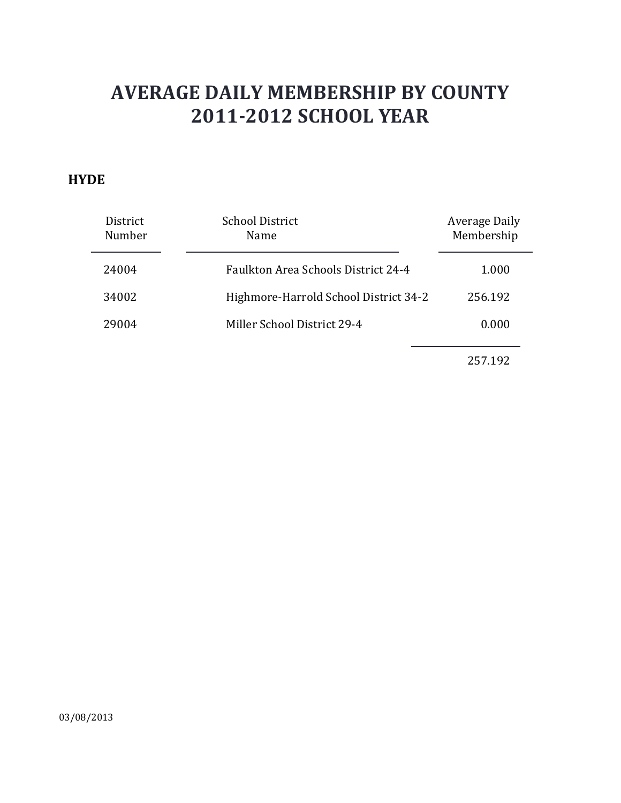#### **HYDE**

| District<br>Number | <b>School District</b><br><b>Name</b> | Average Daily<br>Membership |
|--------------------|---------------------------------------|-----------------------------|
| 24004              | Faulkton Area Schools District 24-4   | 1.000                       |
| 34002              | Highmore-Harrold School District 34-2 | 256.192                     |
| 29004              | Miller School District 29-4           | 0.000                       |
|                    |                                       |                             |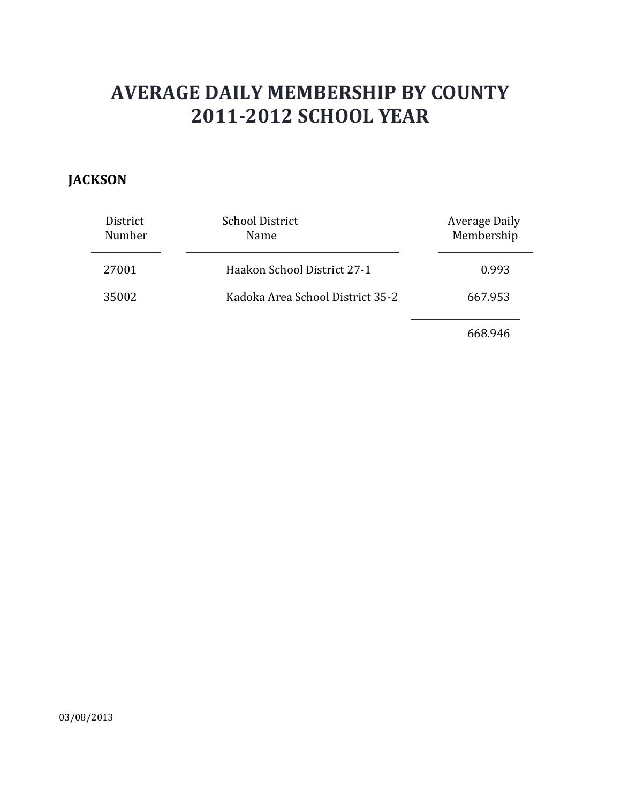### **JACKSON**

| District<br>Number | <b>School District</b><br>Name   | <b>Average Daily</b><br>Membership |
|--------------------|----------------------------------|------------------------------------|
| 27001              | Haakon School District 27-1      | 0.993                              |
| 35002              | Kadoka Area School District 35-2 | 667.953                            |
|                    |                                  |                                    |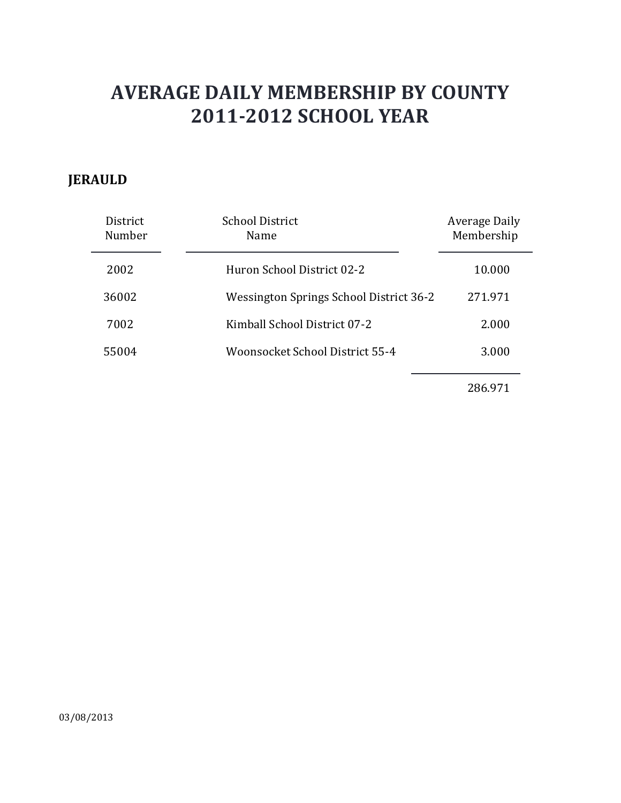### **JERAULD**

| District<br>Number | <b>School District</b><br>Name          | <b>Average Daily</b><br>Membership |
|--------------------|-----------------------------------------|------------------------------------|
| 2002               | Huron School District 02-2              | 10.000                             |
| 36002              | Wessington Springs School District 36-2 | 271.971                            |
| 7002               | Kimball School District 07-2            | 2.000                              |
| 55004              | Woonsocket School District 55-4         | 3.000                              |
|                    |                                         |                                    |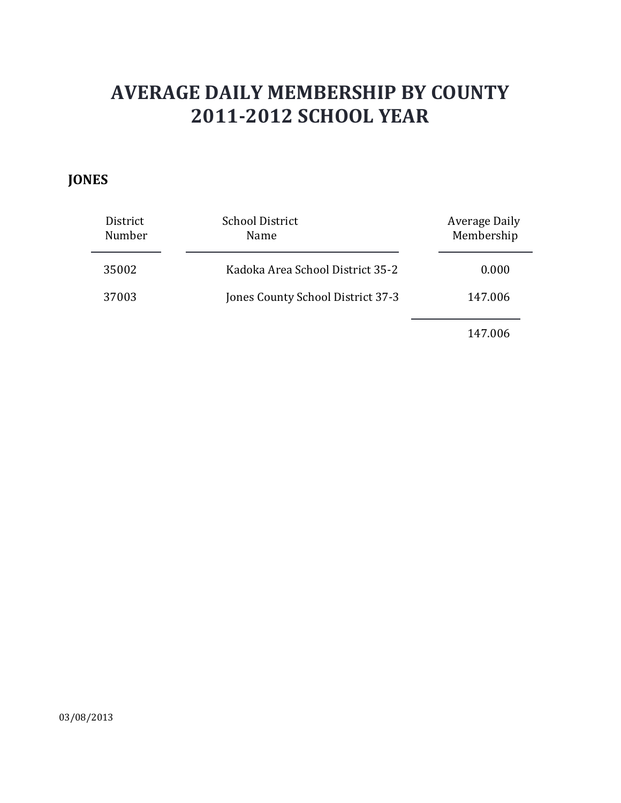### **JONES**

| District<br>Number | <b>School District</b><br>Name    | Average Daily<br>Membership |
|--------------------|-----------------------------------|-----------------------------|
| 35002              | Kadoka Area School District 35-2  | 0.000                       |
| 37003              | Jones County School District 37-3 | 147.006                     |
|                    |                                   |                             |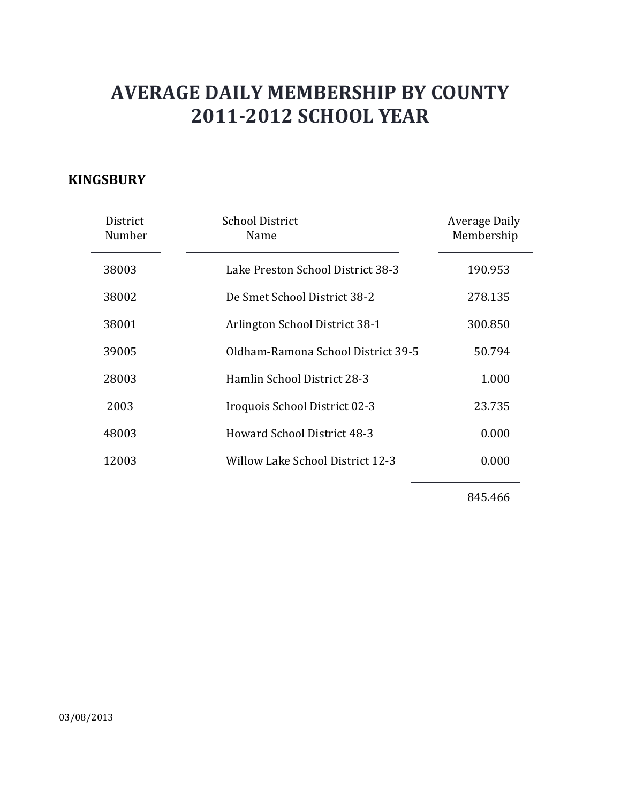### **KINGSBURY**

| District<br>Number | School District<br>Name            | Average Daily<br>Membership |
|--------------------|------------------------------------|-----------------------------|
| 38003              | Lake Preston School District 38-3  | 190.953                     |
| 38002              | De Smet School District 38-2       | 278.135                     |
| 38001              | Arlington School District 38-1     | 300.850                     |
| 39005              | Oldham-Ramona School District 39-5 | 50.794                      |
| 28003              | Hamlin School District 28-3        | 1.000                       |
| 2003               | Iroquois School District 02-3      | 23.735                      |
| 48003              | <b>Howard School District 48-3</b> | 0.000                       |
| 12003              | Willow Lake School District 12-3   | 0.000                       |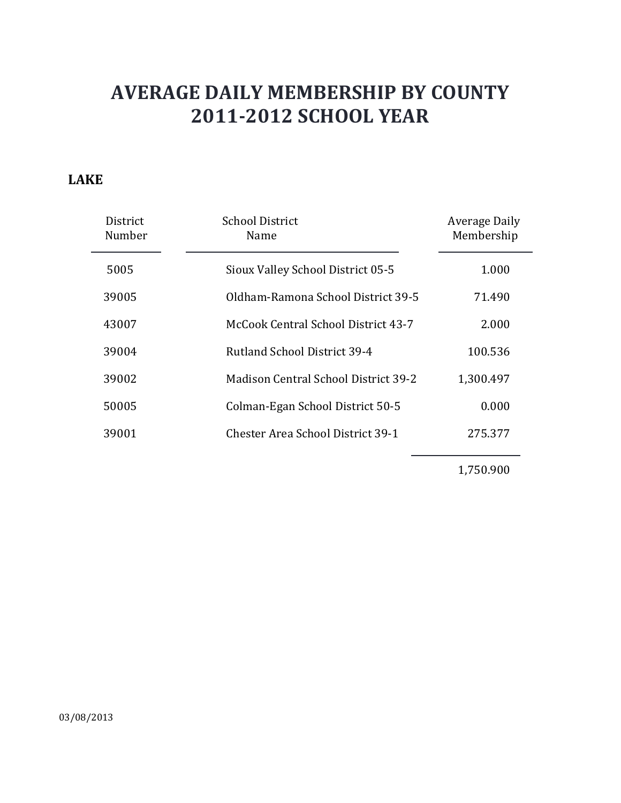#### **LAKE**

| District<br>Number | <b>School District</b><br>Name              | Average Daily<br>Membership |
|--------------------|---------------------------------------------|-----------------------------|
| 5005               | Sioux Valley School District 05-5           | 1.000                       |
| 39005              | Oldham-Ramona School District 39-5          | 71.490                      |
| 43007              | McCook Central School District 43-7         | 2.000                       |
| 39004              | Rutland School District 39-4                | 100.536                     |
| 39002              | <b>Madison Central School District 39-2</b> | 1,300.497                   |
| 50005              | Colman-Egan School District 50-5            | 0.000                       |
| 39001              | <b>Chester Area School District 39-1</b>    | 275.377                     |

1,750.900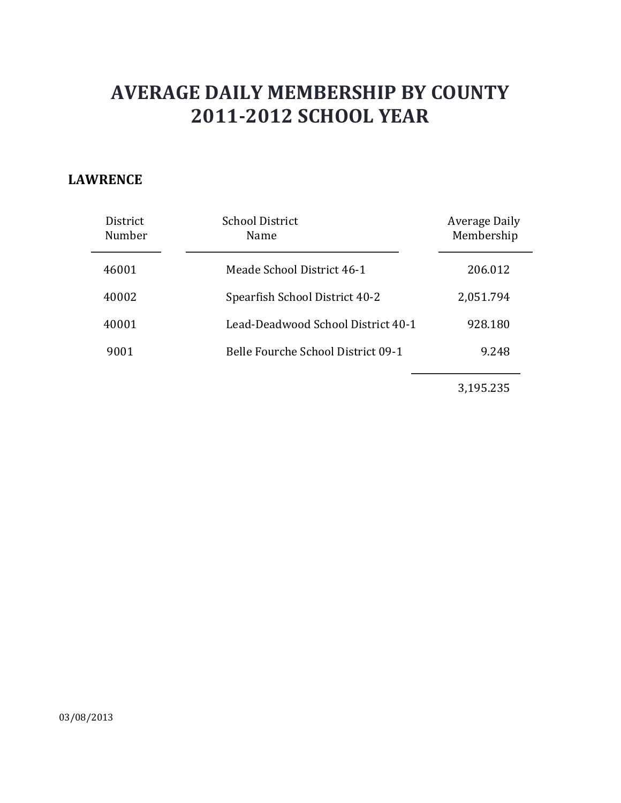#### **LAWRENCE**

| District<br>Number | <b>School District</b><br>Name     | Average Daily<br>Membership |
|--------------------|------------------------------------|-----------------------------|
| 46001              | Meade School District 46-1         | 206.012                     |
| 40002              | Spearfish School District 40-2     | 2,051.794                   |
| 40001              | Lead-Deadwood School District 40-1 | 928.180                     |
| 9001               | Belle Fourche School District 09-1 | 9.248                       |
|                    |                                    |                             |

3,195.235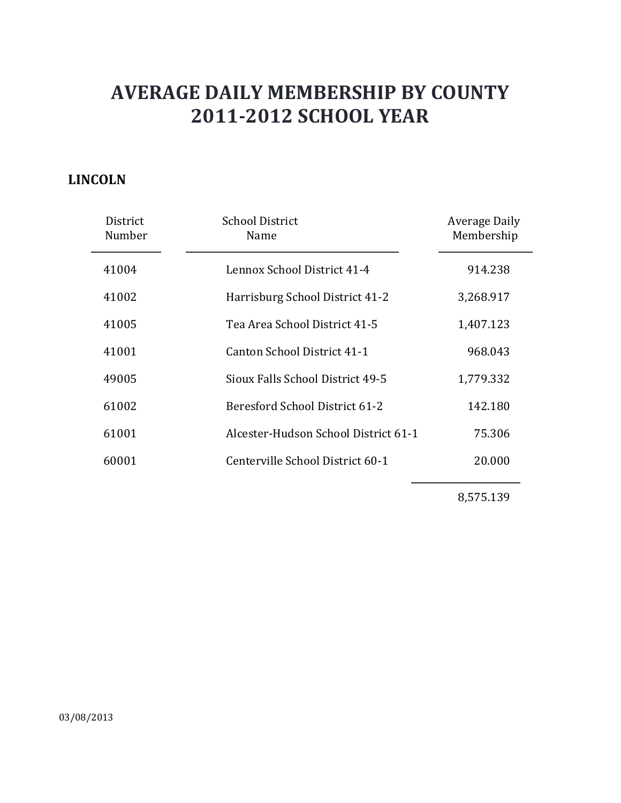### **LINCOLN**

| District<br>Number | <b>School District</b><br>Name       | Average Daily<br>Membership |
|--------------------|--------------------------------------|-----------------------------|
| 41004              | Lennox School District 41-4          | 914.238                     |
| 41002              | Harrisburg School District 41-2      | 3,268.917                   |
| 41005              | Tea Area School District 41-5        | 1,407.123                   |
| 41001              | Canton School District 41-1          | 968.043                     |
| 49005              | Sioux Falls School District 49-5     | 1,779.332                   |
| 61002              | Beresford School District 61-2       | 142.180                     |
| 61001              | Alcester-Hudson School District 61-1 | 75.306                      |
| 60001              | Centerville School District 60-1     | 20.000                      |
|                    |                                      |                             |

8,575.139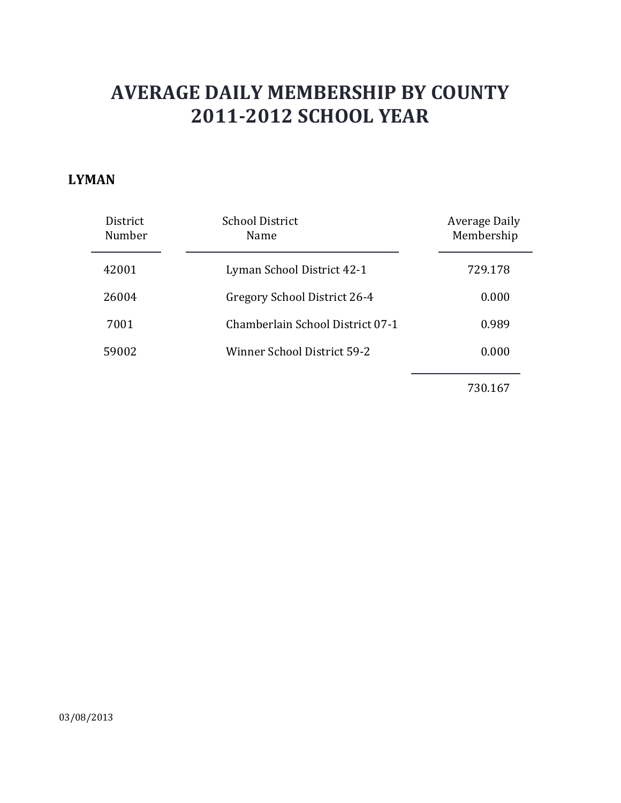#### **LYMAN**

| District<br>Number | <b>School District</b><br>Name   | Average Daily<br>Membership |
|--------------------|----------------------------------|-----------------------------|
| 42001              | Lyman School District 42-1       | 729.178                     |
| 26004              | Gregory School District 26-4     | 0.000                       |
| 7001               | Chamberlain School District 07-1 | 0.989                       |
| 59002              | Winner School District 59-2      | 0.000                       |
|                    |                                  |                             |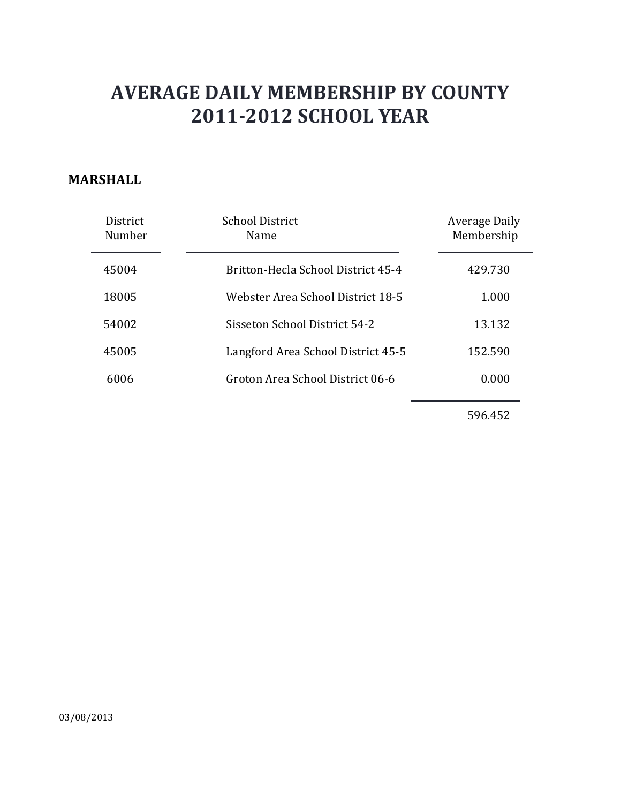#### **MARSHALL**

| <b>District</b><br>Number | <b>School District</b><br>Name     | Average Daily<br>Membership |
|---------------------------|------------------------------------|-----------------------------|
| 45004                     | Britton-Hecla School District 45-4 | 429.730                     |
| 18005                     | Webster Area School District 18-5  | 1.000                       |
| 54002                     | Sisseton School District 54-2      | 13.132                      |
| 45005                     | Langford Area School District 45-5 | 152.590                     |
| 6006                      | Groton Area School District 06-6   | 0.000                       |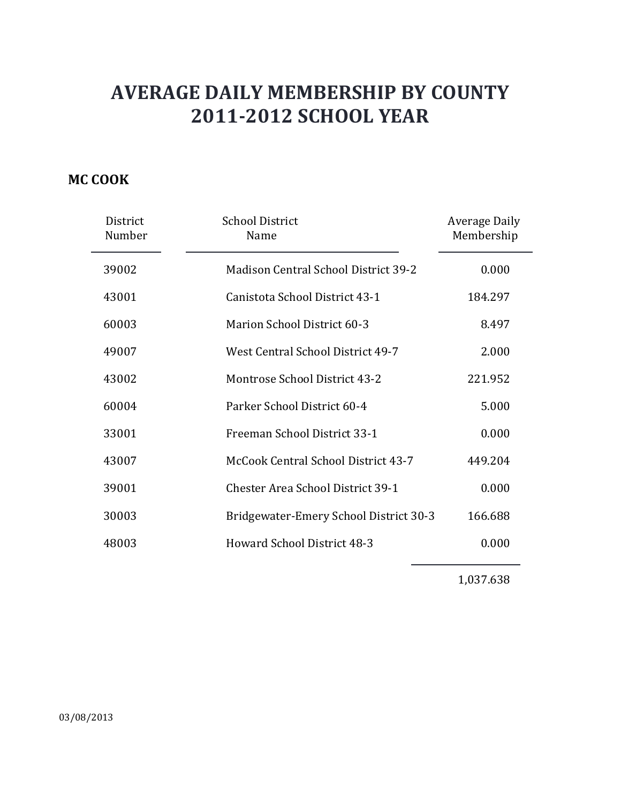### **MC COOK**

| District<br>Number | <b>School District</b><br>Name              | <b>Average Daily</b><br>Membership |
|--------------------|---------------------------------------------|------------------------------------|
| 39002              | <b>Madison Central School District 39-2</b> | 0.000                              |
| 43001              | Canistota School District 43-1              | 184.297                            |
| 60003              | Marion School District 60-3                 | 8.497                              |
| 49007              | West Central School District 49-7           | 2.000                              |
| 43002              | Montrose School District 43-2               | 221.952                            |
| 60004              | Parker School District 60-4                 | 5.000                              |
| 33001              | Freeman School District 33-1                | 0.000                              |
| 43007              | McCook Central School District 43-7         | 449.204                            |
| 39001              | <b>Chester Area School District 39-1</b>    | 0.000                              |
| 30003              | Bridgewater-Emery School District 30-3      | 166.688                            |
| 48003              | <b>Howard School District 48-3</b>          | 0.000                              |

1,037.638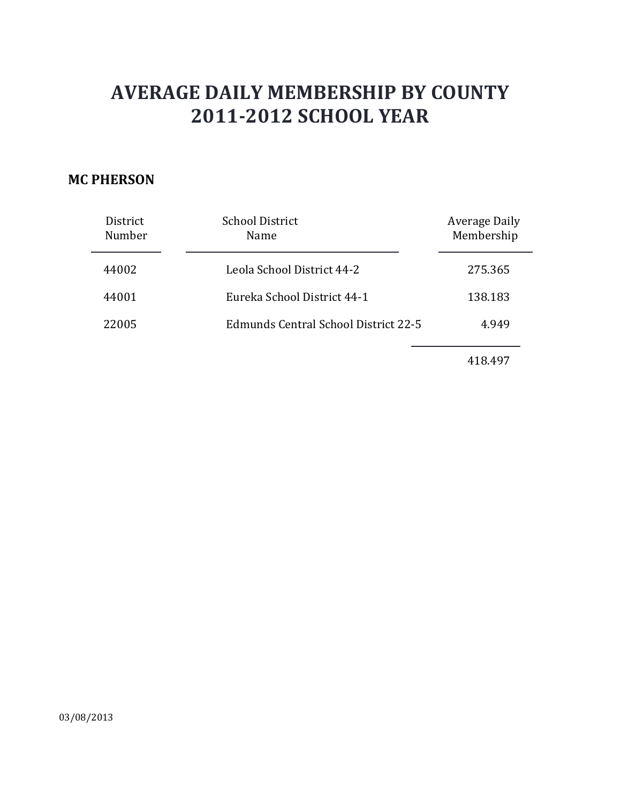#### **MC PHERSON**

| District<br>Number | <b>School District</b><br>Name              | <b>Average Daily</b><br>Membership |
|--------------------|---------------------------------------------|------------------------------------|
| 44002              | Leola School District 44-2                  | 275.365                            |
| 44001              | Eureka School District 44-1                 | 138.183                            |
| 22005              | <b>Edmunds Central School District 22-5</b> | 4.949                              |
|                    |                                             |                                    |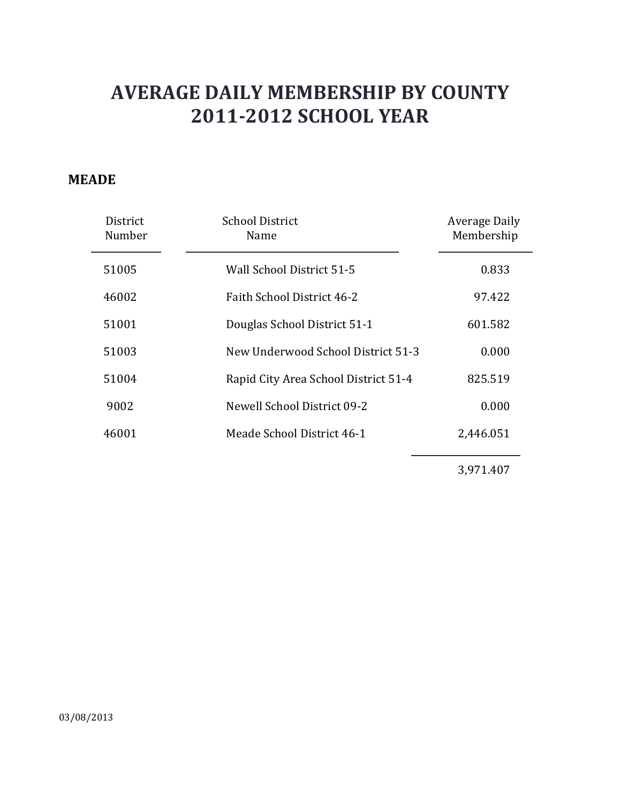### **MEADE**

| District<br>Number | <b>School District</b><br>Name       | Average Daily<br>Membership |
|--------------------|--------------------------------------|-----------------------------|
| 51005              | Wall School District 51-5            | 0.833                       |
| 46002              | Faith School District 46-2           | 97.422                      |
| 51001              | Douglas School District 51-1         | 601.582                     |
| 51003              | New Underwood School District 51-3   | 0.000                       |
| 51004              | Rapid City Area School District 51-4 | 825.519                     |
| 9002               | Newell School District 09-2          | 0.000                       |
| 46001              | Meade School District 46-1           | 2,446.051                   |

3,971.407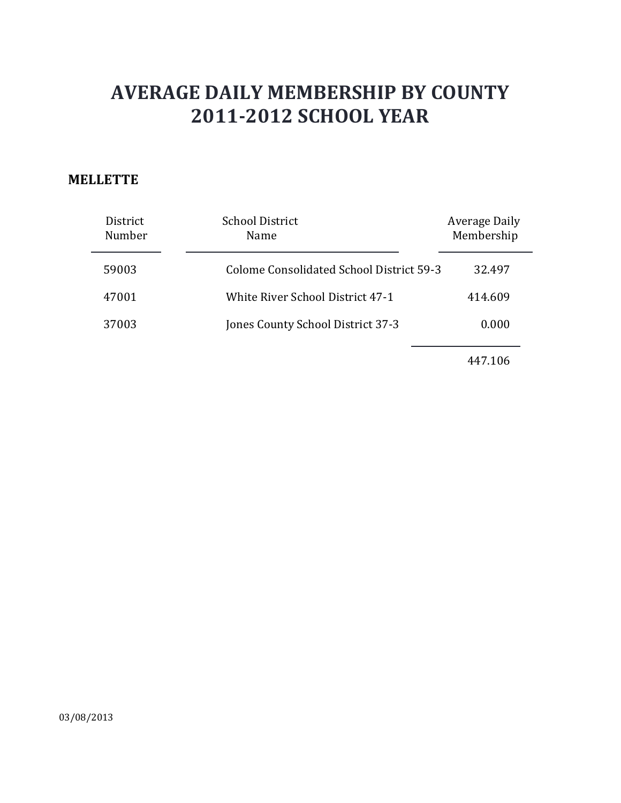#### **MELLETTE**

| District<br>Number | <b>School District</b><br>Name           | Average Daily<br>Membership |
|--------------------|------------------------------------------|-----------------------------|
| 59003              | Colome Consolidated School District 59-3 | 32.497                      |
| 47001              | <b>White River School District 47-1</b>  | 414.609                     |
| 37003              | Jones County School District 37-3        | 0.000                       |
|                    |                                          |                             |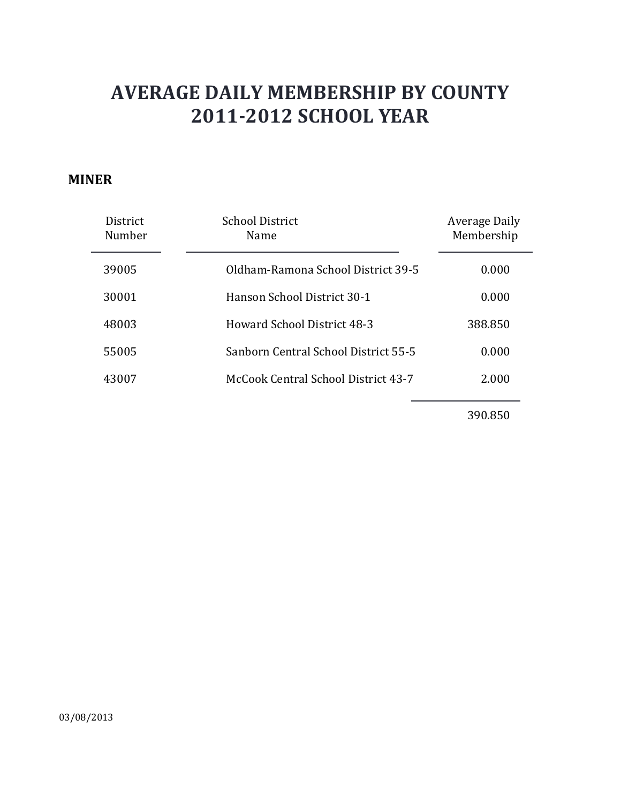#### **MINER**

| <b>District</b><br>Number | <b>School District</b><br>Name       | Average Daily<br>Membership |
|---------------------------|--------------------------------------|-----------------------------|
| 39005                     | Oldham-Ramona School District 39-5   | 0.000                       |
| 30001                     | Hanson School District 30-1          | 0.000                       |
| 48003                     | Howard School District 48-3          | 388.850                     |
| 55005                     | Sanborn Central School District 55-5 | 0.000                       |
| 43007                     | McCook Central School District 43-7  | 2.000                       |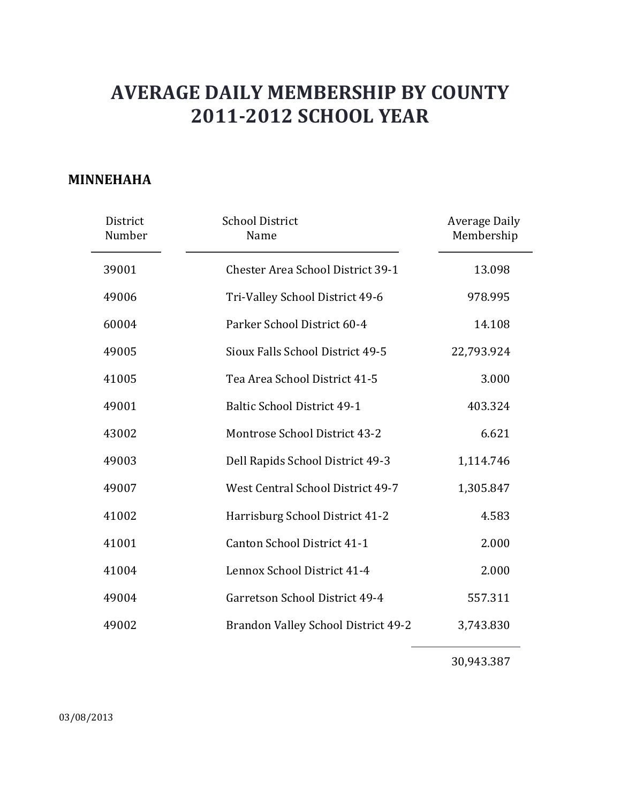#### **MINNEHAHA**

| District<br>Number | <b>School District</b><br>Name           | <b>Average Daily</b><br>Membership |
|--------------------|------------------------------------------|------------------------------------|
| 39001              | <b>Chester Area School District 39-1</b> | 13.098                             |
| 49006              | Tri-Valley School District 49-6          | 978.995                            |
| 60004              | Parker School District 60-4              | 14.108                             |
| 49005              | Sioux Falls School District 49-5         | 22,793.924                         |
| 41005              | Tea Area School District 41-5            | 3.000                              |
| 49001              | <b>Baltic School District 49-1</b>       | 403.324                            |
| 43002              | Montrose School District 43-2            | 6.621                              |
| 49003              | Dell Rapids School District 49-3         | 1,114.746                          |
| 49007              | West Central School District 49-7        | 1,305.847                          |
| 41002              | Harrisburg School District 41-2          | 4.583                              |
| 41001              | Canton School District 41-1              | 2.000                              |
| 41004              | Lennox School District 41-4              | 2.000                              |
| 49004              | Garretson School District 49-4           | 557.311                            |
| 49002              | Brandon Valley School District 49-2      | 3,743.830                          |

30,943.387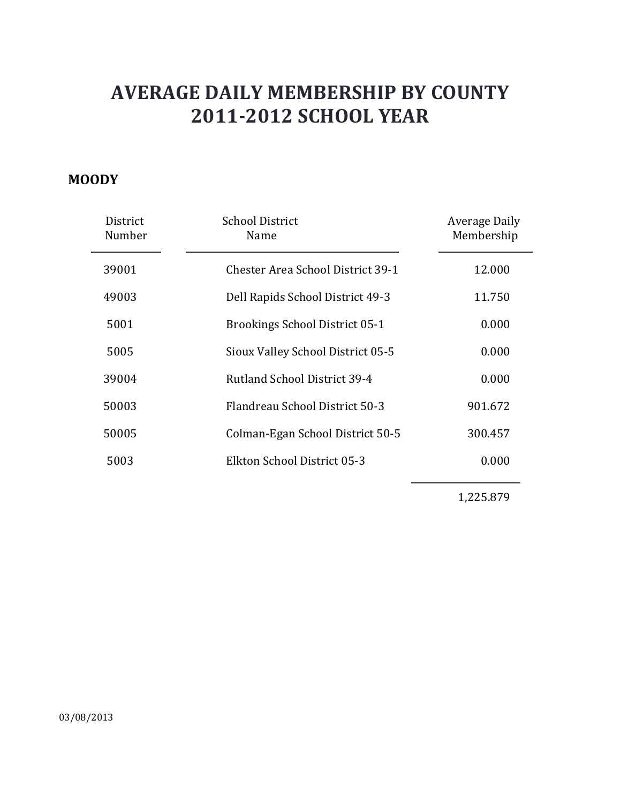#### **MOODY**

| District<br>Number | <b>School District</b><br>Name           | Average Daily<br>Membership |
|--------------------|------------------------------------------|-----------------------------|
| 39001              | <b>Chester Area School District 39-1</b> | 12.000                      |
| 49003              | Dell Rapids School District 49-3         | 11.750                      |
| 5001               | <b>Brookings School District 05-1</b>    | 0.000                       |
| 5005               | Sioux Valley School District 05-5        | 0.000                       |
| 39004              | Rutland School District 39-4             | 0.000                       |
| 50003              | Flandreau School District 50-3           | 901.672                     |
| 50005              | Colman-Egan School District 50-5         | 300.457                     |
| 5003               | Elkton School District 05-3              | 0.000                       |
|                    |                                          |                             |

1,225.879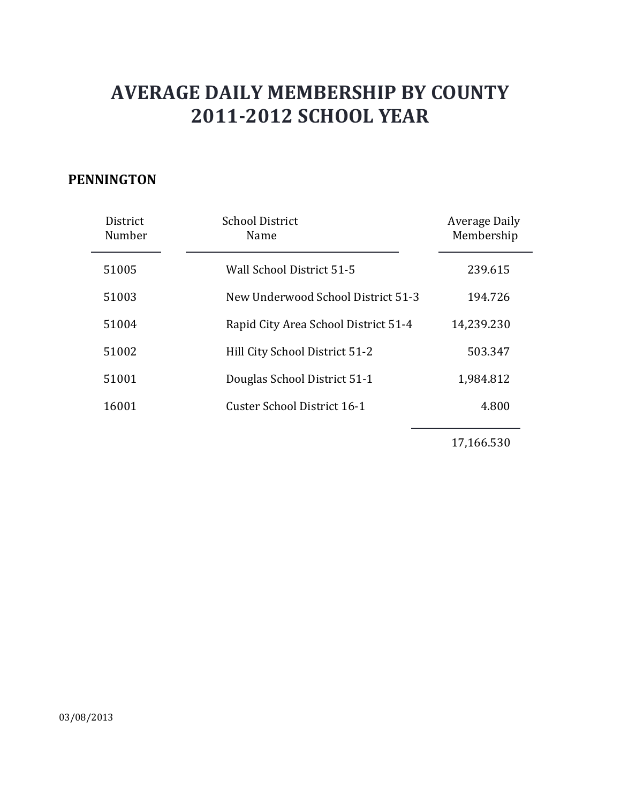#### **PENNINGTON**

| District<br>Number | <b>School District</b><br>Name       | Average Daily<br>Membership |
|--------------------|--------------------------------------|-----------------------------|
| 51005              | Wall School District 51-5            | 239.615                     |
| 51003              | New Underwood School District 51-3   | 194.726                     |
| 51004              | Rapid City Area School District 51-4 | 14,239.230                  |
| 51002              | Hill City School District 51-2       | 503.347                     |
| 51001              | Douglas School District 51-1         | 1,984.812                   |
| 16001              | Custer School District 16-1          | 4.800                       |

17,166.530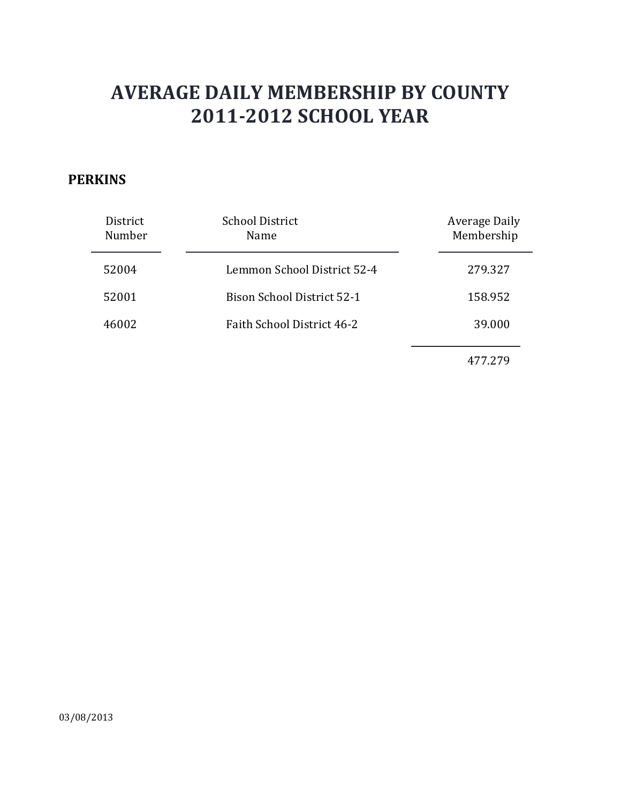### **PERKINS**

| District<br>Number | <b>School District</b><br>Name    | Average Daily<br>Membership |
|--------------------|-----------------------------------|-----------------------------|
| 52004              | Lemmon School District 52-4       | 279.327                     |
| 52001              | <b>Bison School District 52-1</b> | 158.952                     |
| 46002              | <b>Faith School District 46-2</b> | 39.000                      |
|                    |                                   | 477.279                     |

03/08/2013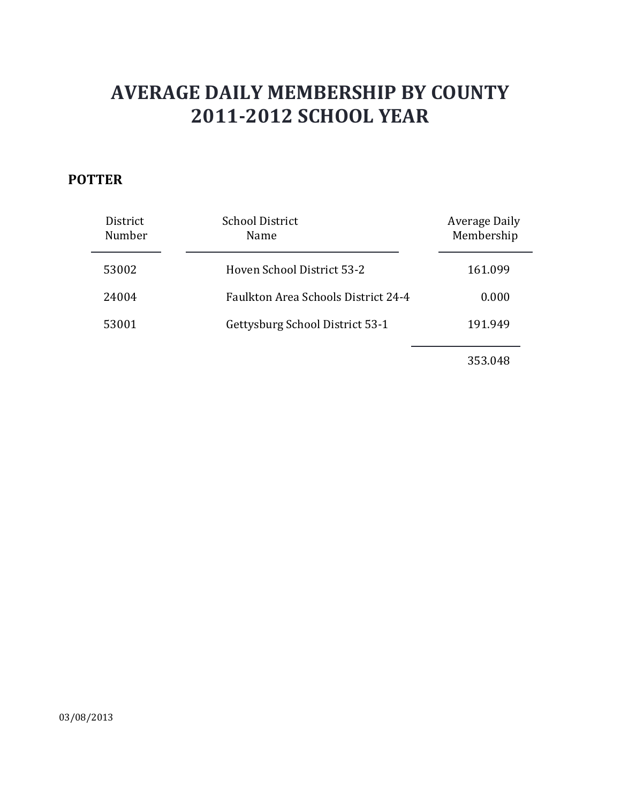### **POTTER**

| District<br>Number | <b>School District</b><br>Name             | Average Daily<br>Membership |
|--------------------|--------------------------------------------|-----------------------------|
| 53002              | Hoven School District 53-2                 | 161.099                     |
| 24004              | <b>Faulkton Area Schools District 24-4</b> | 0.000                       |
| 53001              | Gettysburg School District 53-1            | 191.949                     |
|                    |                                            | 353.048                     |

03/08/2013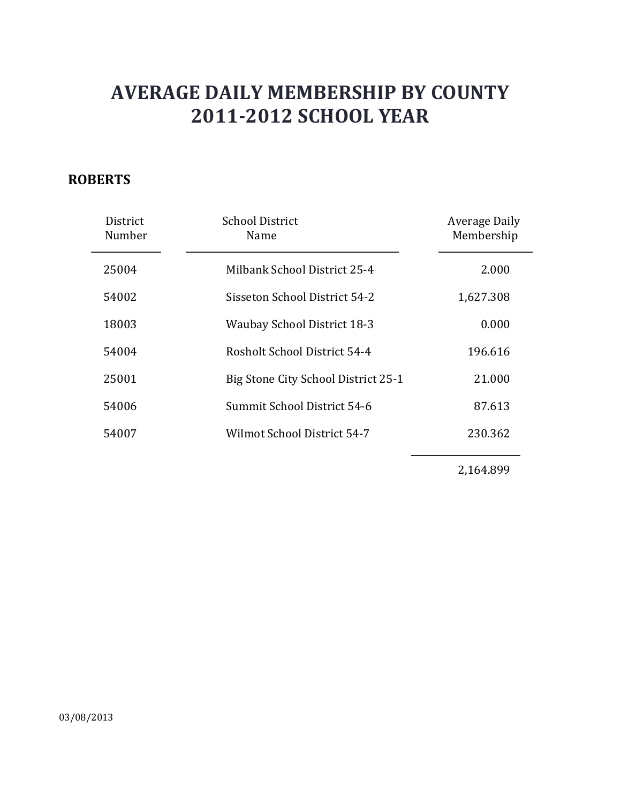### **ROBERTS**

| District<br>Number | <b>School District</b><br>Name      | Average Daily<br>Membership |
|--------------------|-------------------------------------|-----------------------------|
| 25004              | Milbank School District 25-4        | 2.000                       |
| 54002              | Sisseton School District 54-2       | 1,627.308                   |
| 18003              | <b>Waubay School District 18-3</b>  | 0.000                       |
| 54004              | Rosholt School District 54-4        | 196.616                     |
| 25001              | Big Stone City School District 25-1 | 21.000                      |
| 54006              | Summit School District 54-6         | 87.613                      |
| 54007              | Wilmot School District 54-7         | 230.362                     |
|                    |                                     |                             |

2,164.899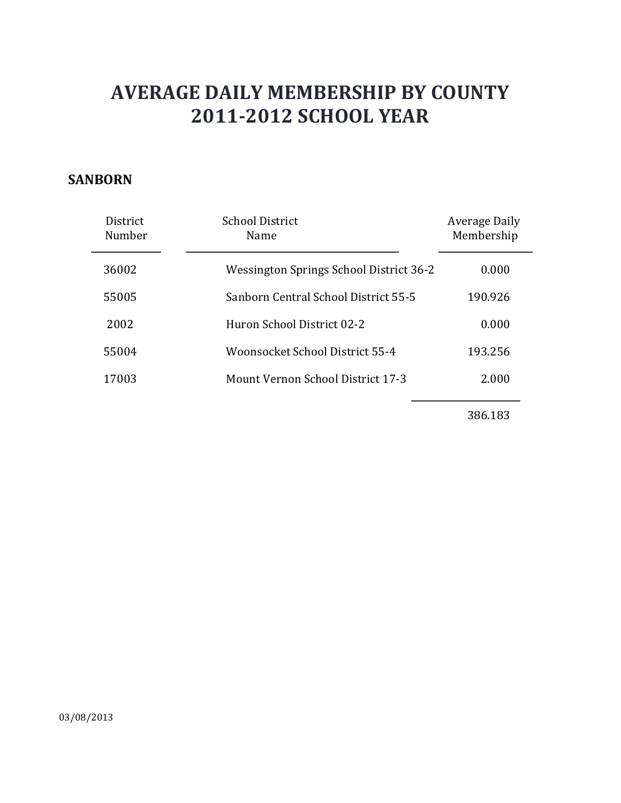#### **SANBORN**

| <b>District</b><br>Number | <b>School District</b><br>Name           | Average Daily<br>Membership |
|---------------------------|------------------------------------------|-----------------------------|
| 36002                     | Wessington Springs School District 36-2  | 0.000                       |
| 55005                     | Sanborn Central School District 55-5     | 190.926                     |
| 2002                      | Huron School District 02-2               | 0.000                       |
| 55004                     | Woonsocket School District 55-4          | 193.256                     |
| 17003                     | <b>Mount Vernon School District 17-3</b> | 2.000                       |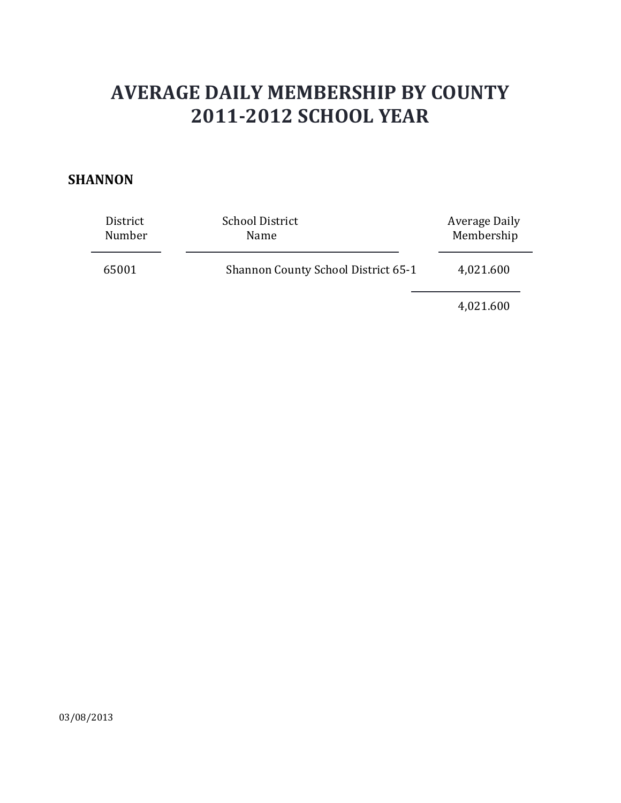#### **SHANNON**

| District | <b>School District</b>              | Average Daily |
|----------|-------------------------------------|---------------|
| Number   | Name                                | Membership    |
| 65001    | Shannon County School District 65-1 | 4,021.600     |

4,021.600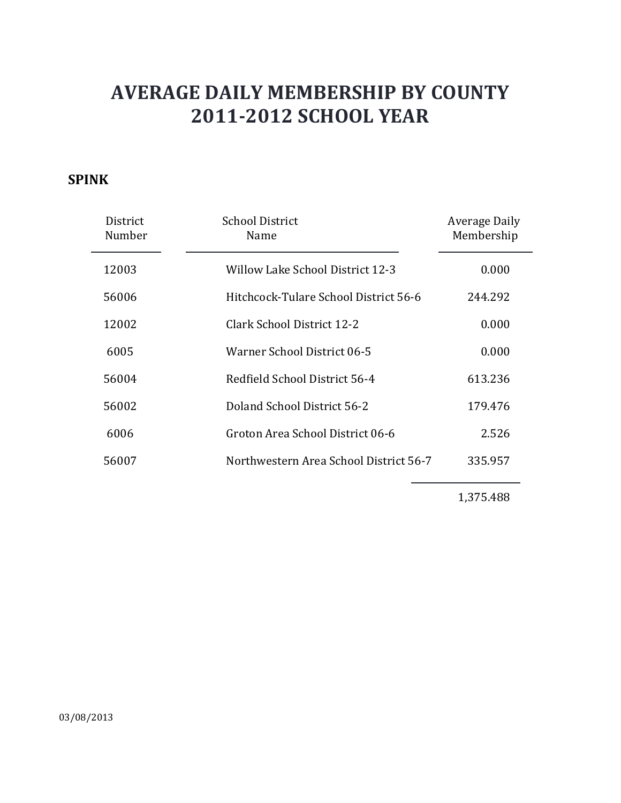### **SPINK**

| District<br>Number | <b>School District</b><br>Name         | Average Daily<br>Membership |
|--------------------|----------------------------------------|-----------------------------|
| 12003              | Willow Lake School District 12-3       | 0.000                       |
| 56006              | Hitchcock-Tulare School District 56-6  | 244.292                     |
| 12002              | Clark School District 12-2             | 0.000                       |
| 6005               | Warner School District 06-5            | 0.000                       |
| 56004              | Redfield School District 56-4          | 613.236                     |
| 56002              | Doland School District 56-2            | 179.476                     |
| 6006               | Groton Area School District 06-6       | 2.526                       |
| 56007              | Northwestern Area School District 56-7 | 335.957                     |

1,375.488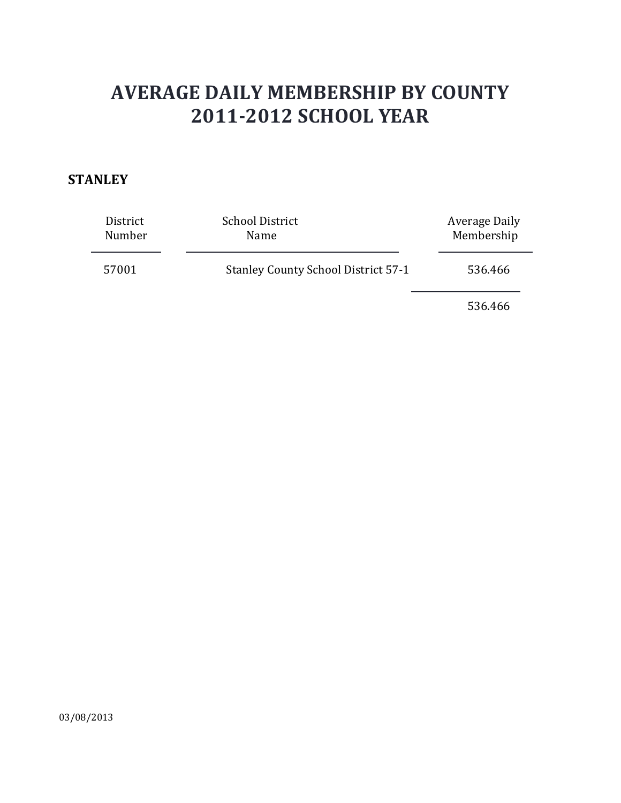### **STANLEY**

| District | <b>School District</b>                     | Average Daily |
|----------|--------------------------------------------|---------------|
| Number   | Name                                       | Membership    |
| 57001    | <b>Stanley County School District 57-1</b> | 536.466       |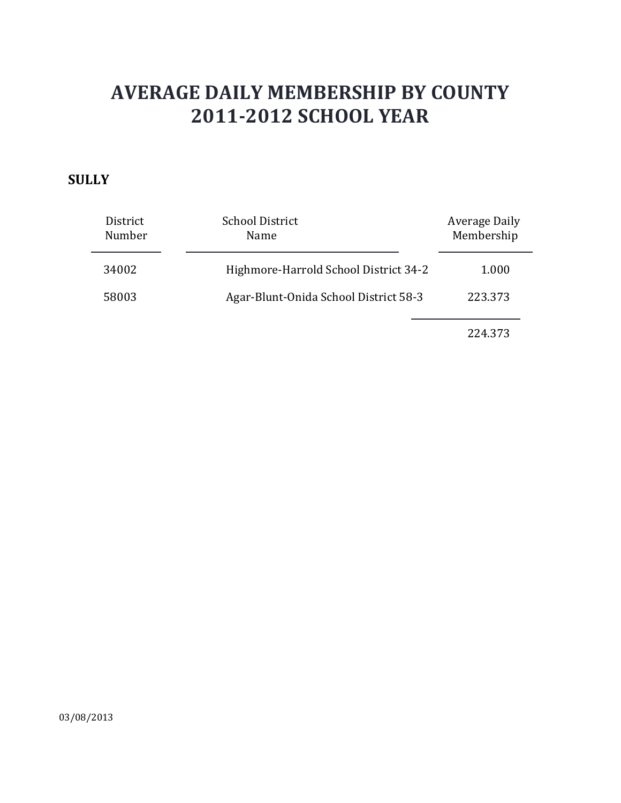### **SULLY**

| District<br>Number | <b>School District</b><br>Name        | Average Daily<br>Membership |
|--------------------|---------------------------------------|-----------------------------|
| 34002              | Highmore-Harrold School District 34-2 | 1.000                       |
| 58003              | Agar-Blunt-Onida School District 58-3 | 223.373                     |
|                    |                                       |                             |

224.373

03/08/2013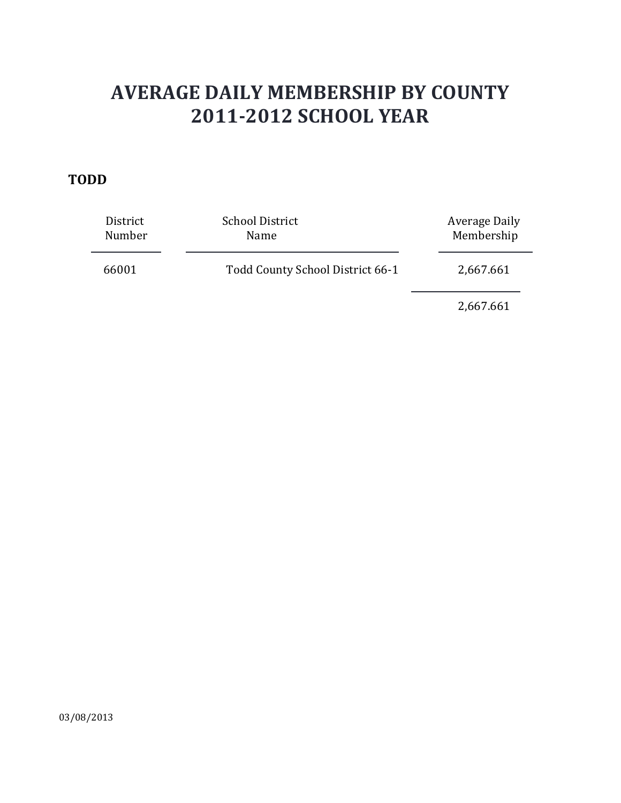#### **TODD**

| District<br>Number | <b>School District</b><br>Name   | Average Daily<br>Membership |
|--------------------|----------------------------------|-----------------------------|
| 66001              | Todd County School District 66-1 | 2,667.661                   |
|                    |                                  | 2,667.661                   |

03/08/2013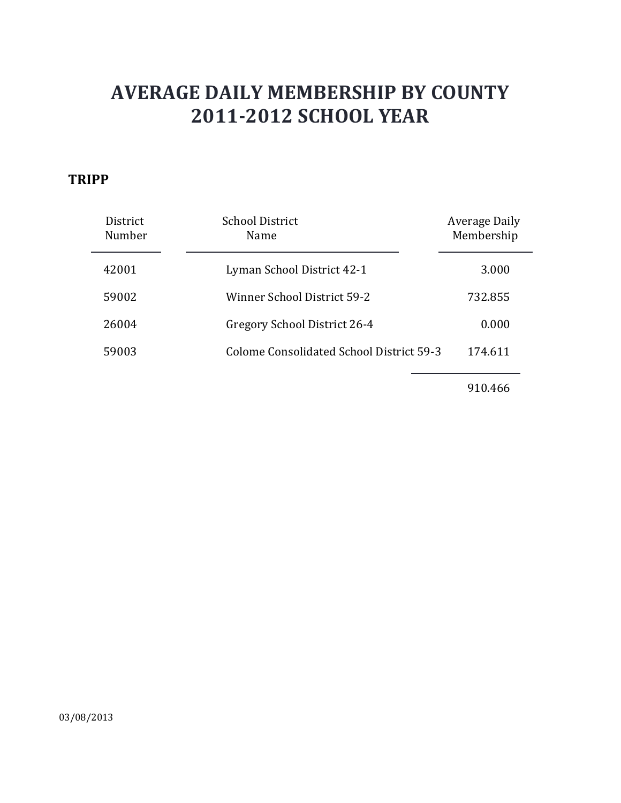#### **TRIPP**

| District<br>Number | <b>School District</b><br>Name           | Average Daily<br>Membership |
|--------------------|------------------------------------------|-----------------------------|
| 42001              | Lyman School District 42-1               | 3.000                       |
| 59002              | Winner School District 59-2              | 732.855                     |
| 26004              | Gregory School District 26-4             | 0.000                       |
| 59003              | Colome Consolidated School District 59-3 | 174.611                     |
|                    |                                          |                             |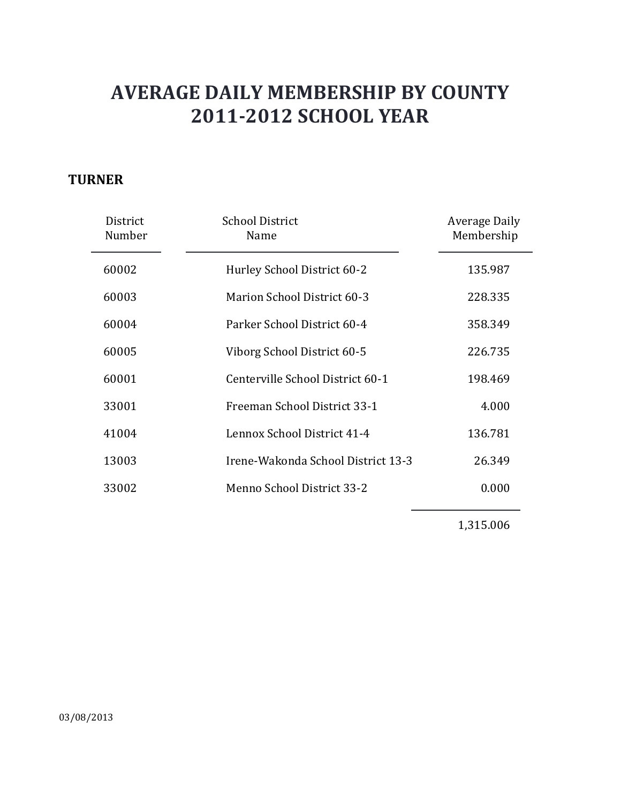### **TURNER**

| District<br>Number | <b>School District</b><br>Name     | Average Daily<br>Membership |
|--------------------|------------------------------------|-----------------------------|
| 60002              | Hurley School District 60-2        | 135.987                     |
| 60003              | <b>Marion School District 60-3</b> | 228.335                     |
| 60004              | Parker School District 60-4        | 358.349                     |
| 60005              | Viborg School District 60-5        | 226.735                     |
| 60001              | Centerville School District 60-1   | 198.469                     |
| 33001              | Freeman School District 33-1       | 4.000                       |
| 41004              | Lennox School District 41-4        | 136.781                     |
| 13003              | Irene-Wakonda School District 13-3 | 26.349                      |
| 33002              | Menno School District 33-2         | 0.000                       |
|                    |                                    |                             |

1,315.006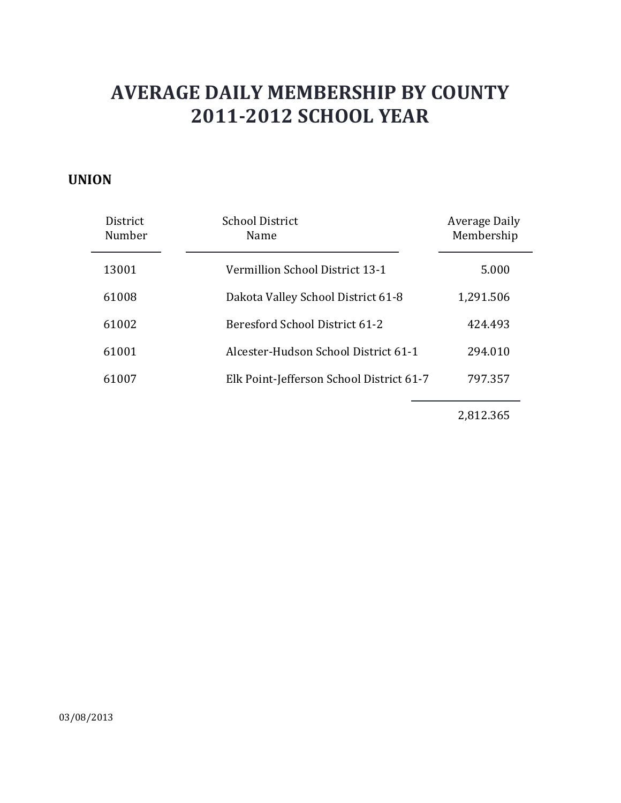#### **UNION**

| <b>District</b><br>Number | <b>School District</b><br>Name           | Average Daily<br>Membership |
|---------------------------|------------------------------------------|-----------------------------|
| 13001                     | Vermillion School District 13-1          | 5.000                       |
| 61008                     | Dakota Valley School District 61-8       | 1,291.506                   |
| 61002                     | Beresford School District 61-2           | 424.493                     |
| 61001                     | Alcester-Hudson School District 61-1     | 294.010                     |
| 61007                     | Elk Point-Jefferson School District 61-7 | 797.357                     |

2,812.365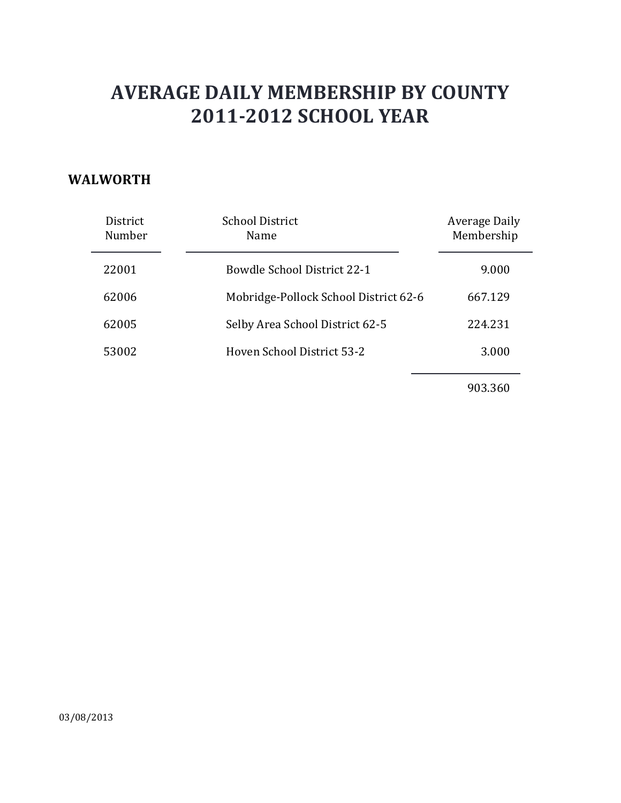#### **WALWORTH**

| District<br>Number | <b>School District</b><br>Name        | Average Daily<br>Membership |
|--------------------|---------------------------------------|-----------------------------|
| 22001              | <b>Bowdle School District 22-1</b>    | 9.000                       |
| 62006              | Mobridge-Pollock School District 62-6 | 667.129                     |
| 62005              | Selby Area School District 62-5       | 224.231                     |
| 53002              | Hoven School District 53-2            | 3.000                       |
|                    |                                       |                             |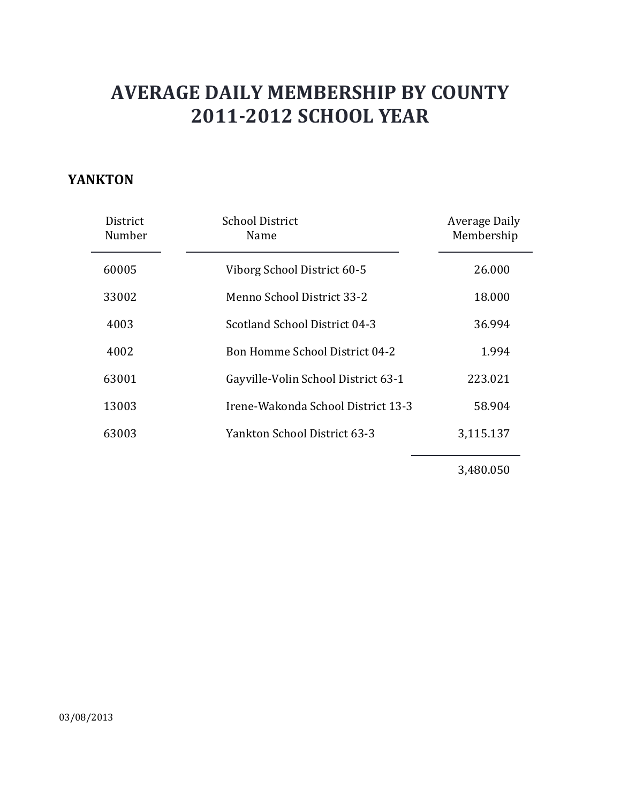#### **YANKTON**

| District<br>Number | <b>School District</b><br>Name        | Average Daily<br>Membership |
|--------------------|---------------------------------------|-----------------------------|
| 60005              | Viborg School District 60-5           | 26,000                      |
| 33002              | Menno School District 33-2            | 18.000                      |
| 4003               | Scotland School District 04-3         | 36.994                      |
| 4002               | <b>Bon Homme School District 04-2</b> | 1.994                       |
| 63001              | Gayville-Volin School District 63-1   | 223.021                     |
| 13003              | Irene-Wakonda School District 13-3    | 58.904                      |
| 63003              | Yankton School District 63-3          | 3,115.137                   |

3,480.050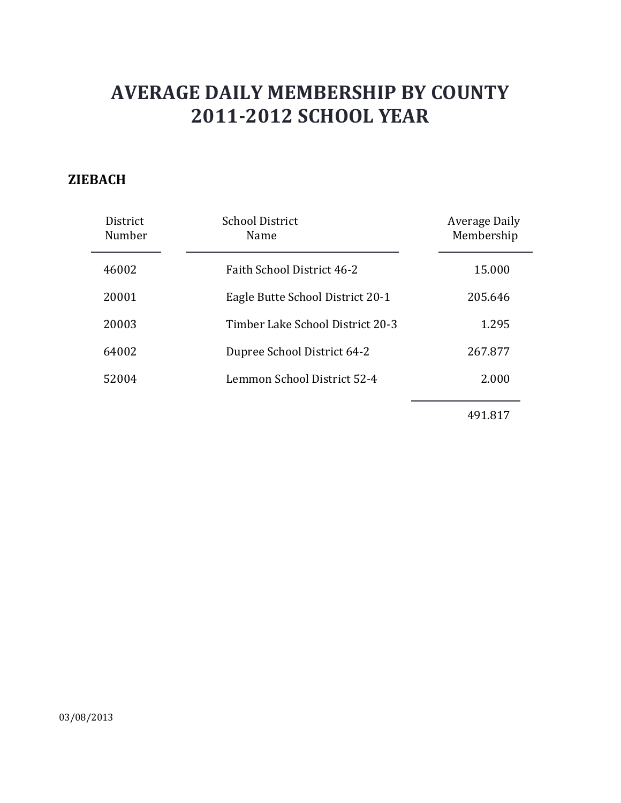### **ZIEBACH**

| District<br>Number | <b>School District</b><br>Name    | Average Daily<br>Membership |
|--------------------|-----------------------------------|-----------------------------|
| 46002              | <b>Faith School District 46-2</b> | 15.000                      |
| 20001              | Eagle Butte School District 20-1  | 205.646                     |
| 20003              | Timber Lake School District 20-3  | 1.295                       |
| 64002              | Dupree School District 64-2       | 267.877                     |
| 52004              | Lemmon School District 52-4       | 2.000                       |